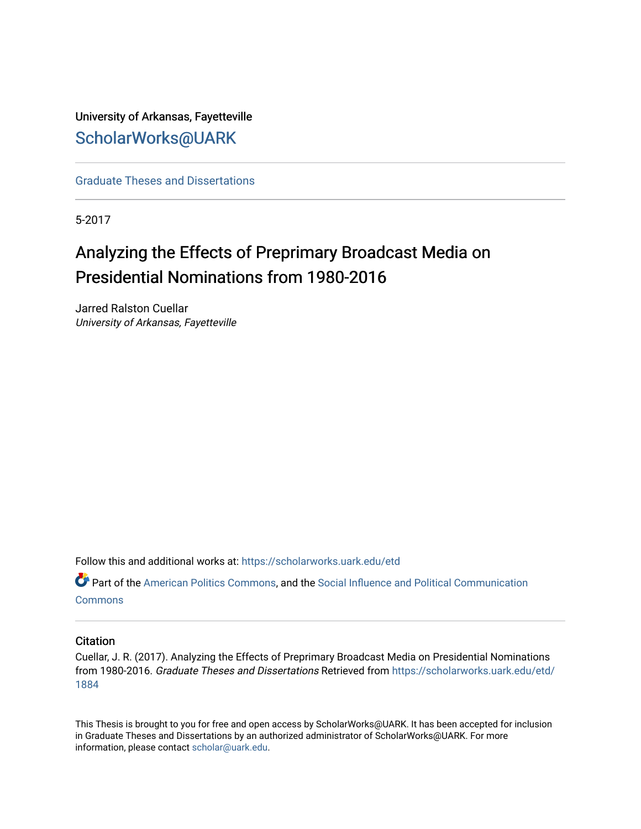University of Arkansas, Fayetteville [ScholarWorks@UARK](https://scholarworks.uark.edu/) 

[Graduate Theses and Dissertations](https://scholarworks.uark.edu/etd) 

5-2017

# Analyzing the Effects of Preprimary Broadcast Media on Presidential Nominations from 1980-2016

Jarred Ralston Cuellar University of Arkansas, Fayetteville

Follow this and additional works at: [https://scholarworks.uark.edu/etd](https://scholarworks.uark.edu/etd?utm_source=scholarworks.uark.edu%2Fetd%2F1884&utm_medium=PDF&utm_campaign=PDFCoverPages)

Part of the [American Politics Commons,](http://network.bepress.com/hgg/discipline/387?utm_source=scholarworks.uark.edu%2Fetd%2F1884&utm_medium=PDF&utm_campaign=PDFCoverPages) and the [Social Influence and Political Communication](http://network.bepress.com/hgg/discipline/337?utm_source=scholarworks.uark.edu%2Fetd%2F1884&utm_medium=PDF&utm_campaign=PDFCoverPages)  **[Commons](http://network.bepress.com/hgg/discipline/337?utm_source=scholarworks.uark.edu%2Fetd%2F1884&utm_medium=PDF&utm_campaign=PDFCoverPages)** 

# **Citation**

Cuellar, J. R. (2017). Analyzing the Effects of Preprimary Broadcast Media on Presidential Nominations from 1980-2016. Graduate Theses and Dissertations Retrieved from [https://scholarworks.uark.edu/etd/](https://scholarworks.uark.edu/etd/1884?utm_source=scholarworks.uark.edu%2Fetd%2F1884&utm_medium=PDF&utm_campaign=PDFCoverPages) [1884](https://scholarworks.uark.edu/etd/1884?utm_source=scholarworks.uark.edu%2Fetd%2F1884&utm_medium=PDF&utm_campaign=PDFCoverPages)

This Thesis is brought to you for free and open access by ScholarWorks@UARK. It has been accepted for inclusion in Graduate Theses and Dissertations by an authorized administrator of ScholarWorks@UARK. For more information, please contact [scholar@uark.edu.](mailto:scholar@uark.edu)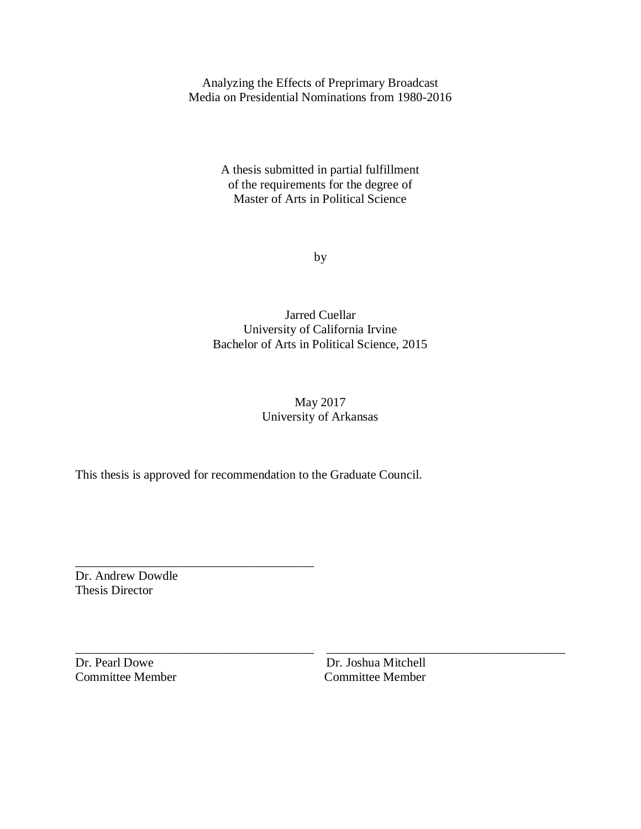Analyzing the Effects of Preprimary Broadcast Media on Presidential Nominations from 1980-2016

> A thesis submitted in partial fulfillment of the requirements for the degree of Master of Arts in Political Science

> > by

Jarred Cuellar University of California Irvine Bachelor of Arts in Political Science, 2015

# May 2017 University of Arkansas

This thesis is approved for recommendation to the Graduate Council.

\_\_\_\_\_\_\_\_\_\_\_\_\_\_\_\_\_\_\_\_\_\_\_\_\_\_\_\_\_\_\_\_\_\_\_\_\_\_

Dr. Andrew Dowdle Thesis Director

\_\_\_\_\_\_\_\_\_\_\_\_\_\_\_\_\_\_\_\_\_\_\_\_\_\_\_\_\_\_\_\_\_\_\_\_\_\_ \_\_\_\_\_\_\_\_\_\_\_\_\_\_\_\_\_\_\_\_\_\_\_\_\_\_\_\_\_\_\_\_\_\_\_\_\_\_ Dr. Pearl Dowe Dr. Joshua Mitchell Committee Member Committee Member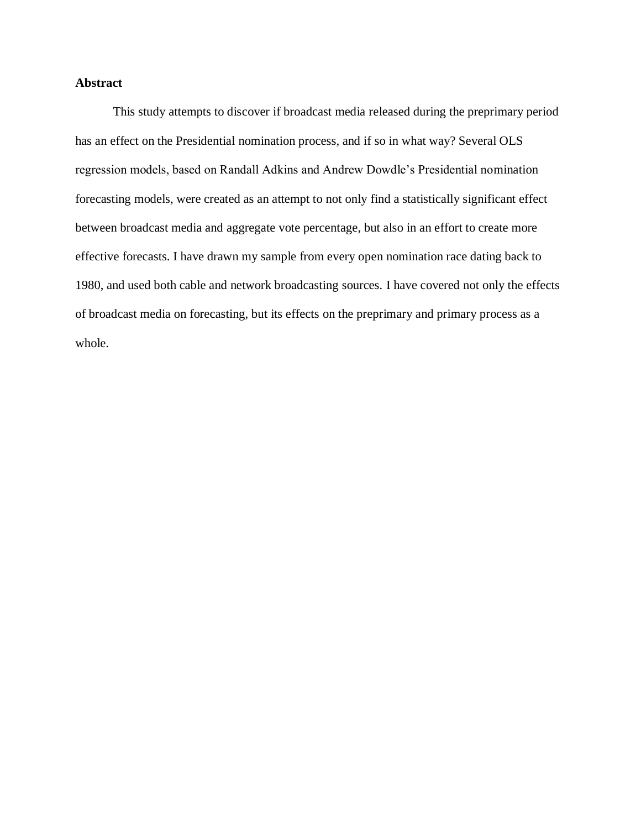# **Abstract**

This study attempts to discover if broadcast media released during the preprimary period has an effect on the Presidential nomination process, and if so in what way? Several OLS regression models, based on Randall Adkins and Andrew Dowdle's Presidential nomination forecasting models, were created as an attempt to not only find a statistically significant effect between broadcast media and aggregate vote percentage, but also in an effort to create more effective forecasts. I have drawn my sample from every open nomination race dating back to 1980, and used both cable and network broadcasting sources. I have covered not only the effects of broadcast media on forecasting, but its effects on the preprimary and primary process as a whole.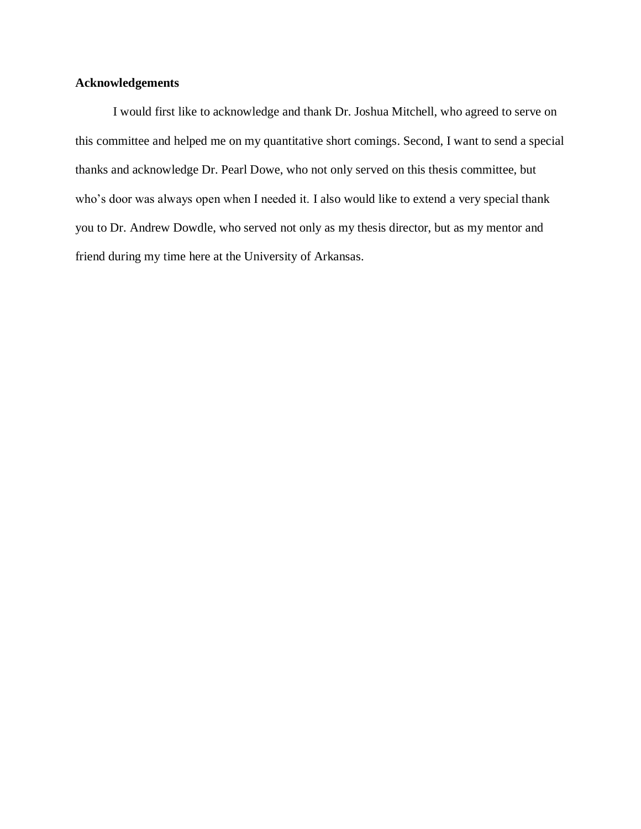# **Acknowledgements**

I would first like to acknowledge and thank Dr. Joshua Mitchell, who agreed to serve on this committee and helped me on my quantitative short comings. Second, I want to send a special thanks and acknowledge Dr. Pearl Dowe, who not only served on this thesis committee, but who's door was always open when I needed it. I also would like to extend a very special thank you to Dr. Andrew Dowdle, who served not only as my thesis director, but as my mentor and friend during my time here at the University of Arkansas.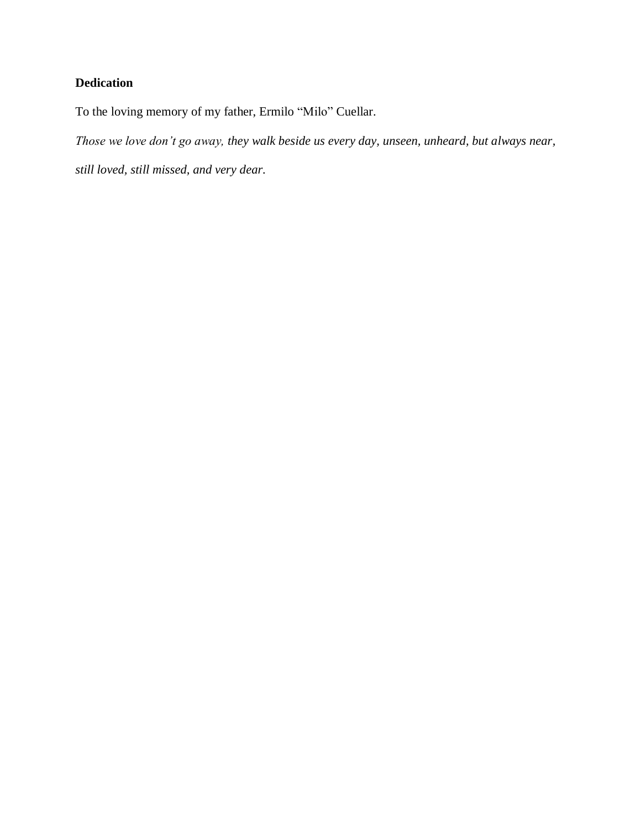# **Dedication**

To the loving memory of my father, Ermilo "Milo" Cuellar.

*Those we love don't go away, they walk beside us every day, unseen, unheard, but always near,* 

*still loved, still missed, and very dear.*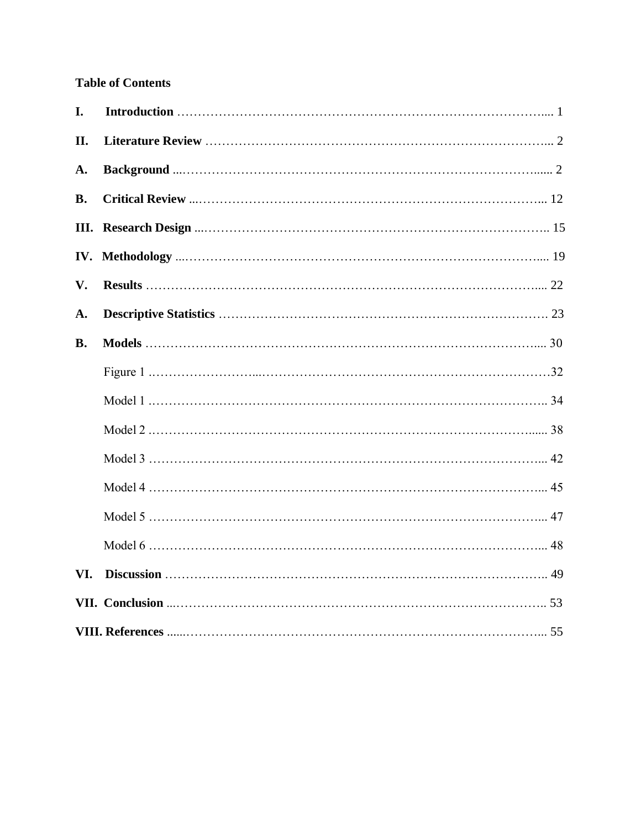# **Table of Contents**

| I.        |  |
|-----------|--|
| II.       |  |
| A.        |  |
| <b>B.</b> |  |
| III.      |  |
|           |  |
| V.        |  |
| A.        |  |
| <b>B.</b> |  |
|           |  |
|           |  |
|           |  |
|           |  |
|           |  |
|           |  |
|           |  |
| VI.       |  |
|           |  |
|           |  |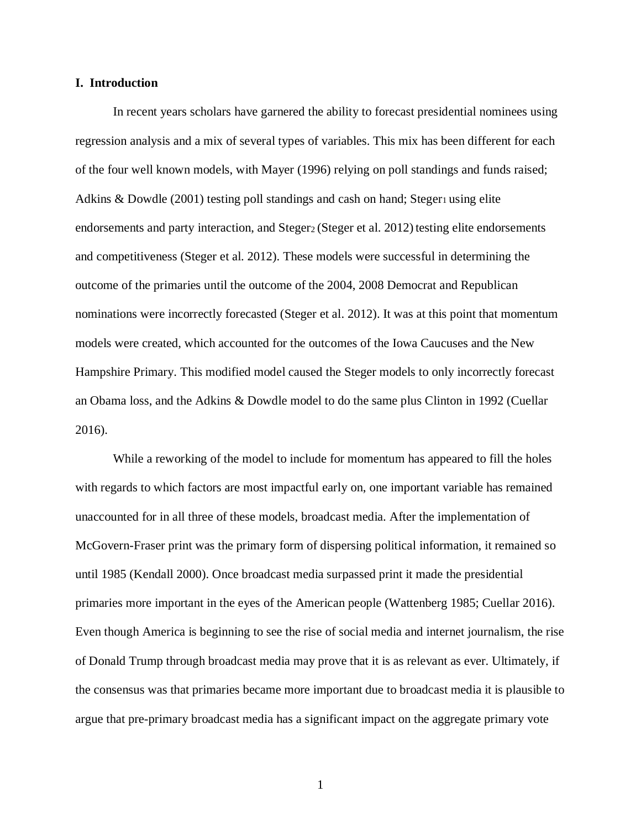# **I. Introduction**

In recent years scholars have garnered the ability to forecast presidential nominees using regression analysis and a mix of several types of variables. This mix has been different for each of the four well known models, with Mayer (1996) relying on poll standings and funds raised; Adkins & Dowdle (2001) testing poll standings and cash on hand; Steger<sub>1</sub> using elite endorsements and party interaction, and Steger<sub>2</sub> (Steger et al. 2012) testing elite endorsements and competitiveness (Steger et al. 2012). These models were successful in determining the outcome of the primaries until the outcome of the 2004, 2008 Democrat and Republican nominations were incorrectly forecasted (Steger et al. 2012). It was at this point that momentum models were created, which accounted for the outcomes of the Iowa Caucuses and the New Hampshire Primary. This modified model caused the Steger models to only incorrectly forecast an Obama loss, and the Adkins & Dowdle model to do the same plus Clinton in 1992 (Cuellar 2016).

While a reworking of the model to include for momentum has appeared to fill the holes with regards to which factors are most impactful early on, one important variable has remained unaccounted for in all three of these models, broadcast media. After the implementation of McGovern-Fraser print was the primary form of dispersing political information, it remained so until 1985 (Kendall 2000). Once broadcast media surpassed print it made the presidential primaries more important in the eyes of the American people (Wattenberg 1985; Cuellar 2016). Even though America is beginning to see the rise of social media and internet journalism, the rise of Donald Trump through broadcast media may prove that it is as relevant as ever. Ultimately, if the consensus was that primaries became more important due to broadcast media it is plausible to argue that pre-primary broadcast media has a significant impact on the aggregate primary vote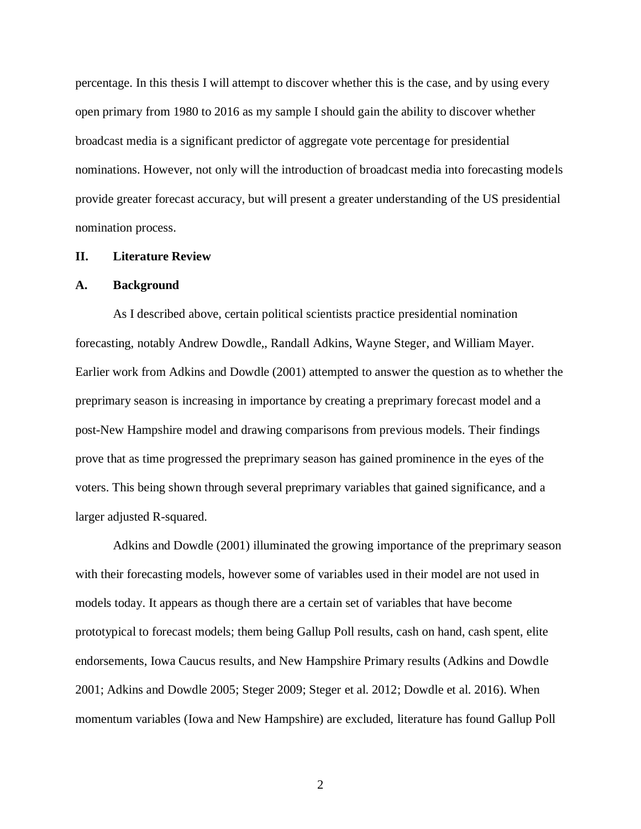percentage. In this thesis I will attempt to discover whether this is the case, and by using every open primary from 1980 to 2016 as my sample I should gain the ability to discover whether broadcast media is a significant predictor of aggregate vote percentage for presidential nominations. However, not only will the introduction of broadcast media into forecasting models provide greater forecast accuracy, but will present a greater understanding of the US presidential nomination process.

# **II. Literature Review**

#### **A. Background**

As I described above, certain political scientists practice presidential nomination forecasting, notably Andrew Dowdle,, Randall Adkins, Wayne Steger, and William Mayer. Earlier work from Adkins and Dowdle (2001) attempted to answer the question as to whether the preprimary season is increasing in importance by creating a preprimary forecast model and a post-New Hampshire model and drawing comparisons from previous models. Their findings prove that as time progressed the preprimary season has gained prominence in the eyes of the voters. This being shown through several preprimary variables that gained significance, and a larger adjusted R-squared.

Adkins and Dowdle (2001) illuminated the growing importance of the preprimary season with their forecasting models, however some of variables used in their model are not used in models today. It appears as though there are a certain set of variables that have become prototypical to forecast models; them being Gallup Poll results, cash on hand, cash spent, elite endorsements, Iowa Caucus results, and New Hampshire Primary results (Adkins and Dowdle 2001; Adkins and Dowdle 2005; Steger 2009; Steger et al. 2012; Dowdle et al. 2016). When momentum variables (Iowa and New Hampshire) are excluded, literature has found Gallup Poll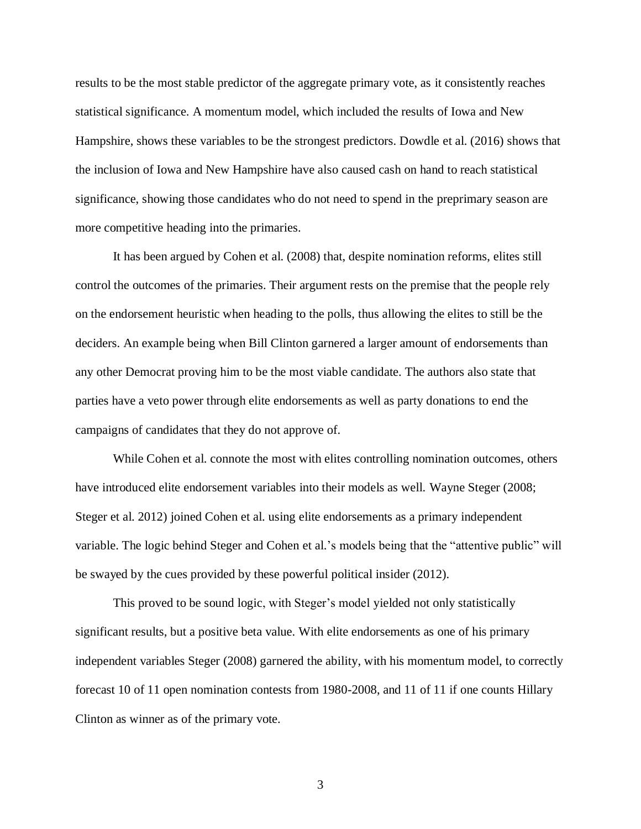results to be the most stable predictor of the aggregate primary vote, as it consistently reaches statistical significance. A momentum model, which included the results of Iowa and New Hampshire, shows these variables to be the strongest predictors. Dowdle et al. (2016) shows that the inclusion of Iowa and New Hampshire have also caused cash on hand to reach statistical significance, showing those candidates who do not need to spend in the preprimary season are more competitive heading into the primaries.

It has been argued by Cohen et al. (2008) that, despite nomination reforms, elites still control the outcomes of the primaries. Their argument rests on the premise that the people rely on the endorsement heuristic when heading to the polls, thus allowing the elites to still be the deciders. An example being when Bill Clinton garnered a larger amount of endorsements than any other Democrat proving him to be the most viable candidate. The authors also state that parties have a veto power through elite endorsements as well as party donations to end the campaigns of candidates that they do not approve of.

While Cohen et al. connote the most with elites controlling nomination outcomes, others have introduced elite endorsement variables into their models as well. Wayne Steger (2008; Steger et al. 2012) joined Cohen et al. using elite endorsements as a primary independent variable. The logic behind Steger and Cohen et al.'s models being that the "attentive public" will be swayed by the cues provided by these powerful political insider (2012).

This proved to be sound logic, with Steger's model yielded not only statistically significant results, but a positive beta value. With elite endorsements as one of his primary independent variables Steger (2008) garnered the ability, with his momentum model, to correctly forecast 10 of 11 open nomination contests from 1980-2008, and 11 of 11 if one counts Hillary Clinton as winner as of the primary vote.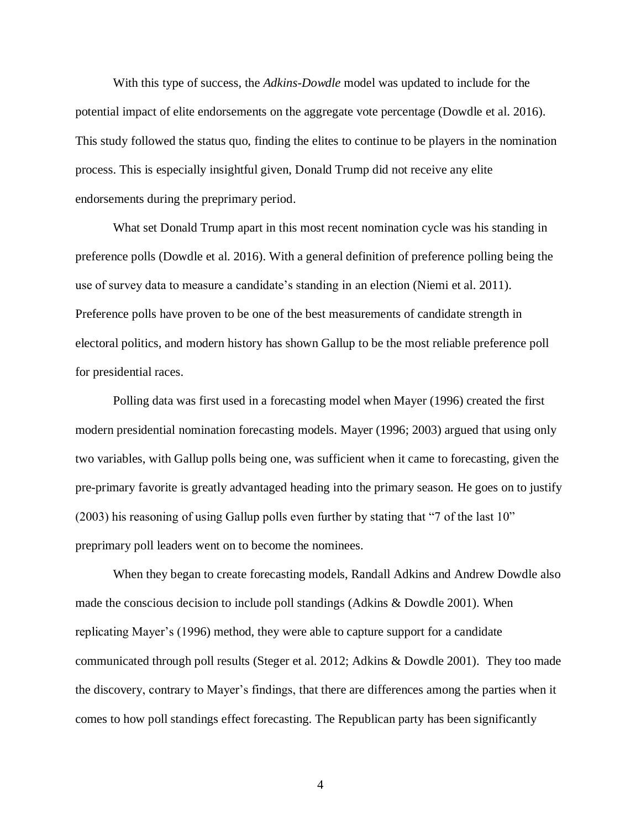With this type of success, the *Adkins-Dowdle* model was updated to include for the potential impact of elite endorsements on the aggregate vote percentage (Dowdle et al. 2016). This study followed the status quo, finding the elites to continue to be players in the nomination process. This is especially insightful given, Donald Trump did not receive any elite endorsements during the preprimary period.

What set Donald Trump apart in this most recent nomination cycle was his standing in preference polls (Dowdle et al. 2016). With a general definition of preference polling being the use of survey data to measure a candidate's standing in an election (Niemi et al. 2011). Preference polls have proven to be one of the best measurements of candidate strength in electoral politics, and modern history has shown Gallup to be the most reliable preference poll for presidential races.

Polling data was first used in a forecasting model when Mayer (1996) created the first modern presidential nomination forecasting models. Mayer (1996; 2003) argued that using only two variables, with Gallup polls being one, was sufficient when it came to forecasting, given the pre-primary favorite is greatly advantaged heading into the primary season. He goes on to justify (2003) his reasoning of using Gallup polls even further by stating that "7 of the last 10" preprimary poll leaders went on to become the nominees.

When they began to create forecasting models, Randall Adkins and Andrew Dowdle also made the conscious decision to include poll standings (Adkins & Dowdle 2001). When replicating Mayer's (1996) method, they were able to capture support for a candidate communicated through poll results (Steger et al. 2012; Adkins & Dowdle 2001). They too made the discovery, contrary to Mayer's findings, that there are differences among the parties when it comes to how poll standings effect forecasting. The Republican party has been significantly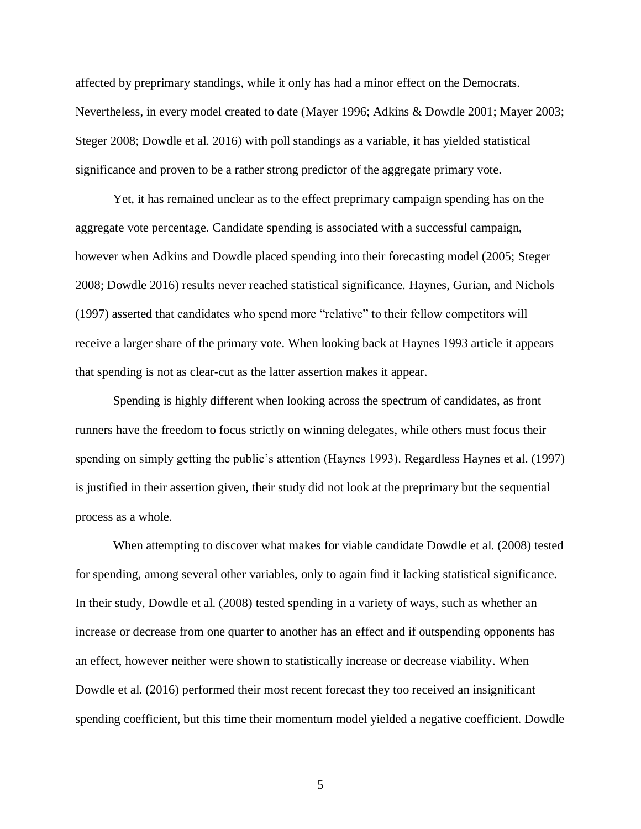affected by preprimary standings, while it only has had a minor effect on the Democrats. Nevertheless, in every model created to date (Mayer 1996; Adkins & Dowdle 2001; Mayer 2003; Steger 2008; Dowdle et al. 2016) with poll standings as a variable, it has yielded statistical significance and proven to be a rather strong predictor of the aggregate primary vote.

Yet, it has remained unclear as to the effect preprimary campaign spending has on the aggregate vote percentage. Candidate spending is associated with a successful campaign, however when Adkins and Dowdle placed spending into their forecasting model (2005; Steger 2008; Dowdle 2016) results never reached statistical significance. Haynes, Gurian, and Nichols (1997) asserted that candidates who spend more "relative" to their fellow competitors will receive a larger share of the primary vote. When looking back at Haynes 1993 article it appears that spending is not as clear-cut as the latter assertion makes it appear.

Spending is highly different when looking across the spectrum of candidates, as front runners have the freedom to focus strictly on winning delegates, while others must focus their spending on simply getting the public's attention (Haynes 1993). Regardless Haynes et al. (1997) is justified in their assertion given, their study did not look at the preprimary but the sequential process as a whole.

When attempting to discover what makes for viable candidate Dowdle et al. (2008) tested for spending, among several other variables, only to again find it lacking statistical significance. In their study, Dowdle et al. (2008) tested spending in a variety of ways, such as whether an increase or decrease from one quarter to another has an effect and if outspending opponents has an effect, however neither were shown to statistically increase or decrease viability. When Dowdle et al. (2016) performed their most recent forecast they too received an insignificant spending coefficient, but this time their momentum model yielded a negative coefficient. Dowdle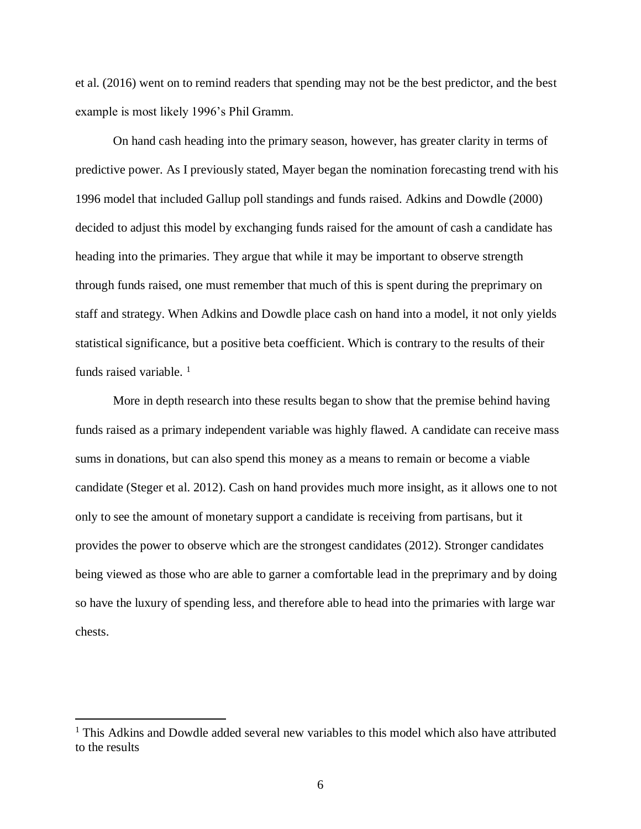et al. (2016) went on to remind readers that spending may not be the best predictor, and the best example is most likely 1996's Phil Gramm.

On hand cash heading into the primary season, however, has greater clarity in terms of predictive power. As I previously stated, Mayer began the nomination forecasting trend with his 1996 model that included Gallup poll standings and funds raised. Adkins and Dowdle (2000) decided to adjust this model by exchanging funds raised for the amount of cash a candidate has heading into the primaries. They argue that while it may be important to observe strength through funds raised, one must remember that much of this is spent during the preprimary on staff and strategy. When Adkins and Dowdle place cash on hand into a model, it not only yields statistical significance, but a positive beta coefficient. Which is contrary to the results of their funds raised variable.  $<sup>1</sup>$ </sup>

More in depth research into these results began to show that the premise behind having funds raised as a primary independent variable was highly flawed. A candidate can receive mass sums in donations, but can also spend this money as a means to remain or become a viable candidate (Steger et al. 2012). Cash on hand provides much more insight, as it allows one to not only to see the amount of monetary support a candidate is receiving from partisans, but it provides the power to observe which are the strongest candidates (2012). Stronger candidates being viewed as those who are able to garner a comfortable lead in the preprimary and by doing so have the luxury of spending less, and therefore able to head into the primaries with large war chests.

 $\overline{a}$ 

<sup>&</sup>lt;sup>1</sup> This Adkins and Dowdle added several new variables to this model which also have attributed to the results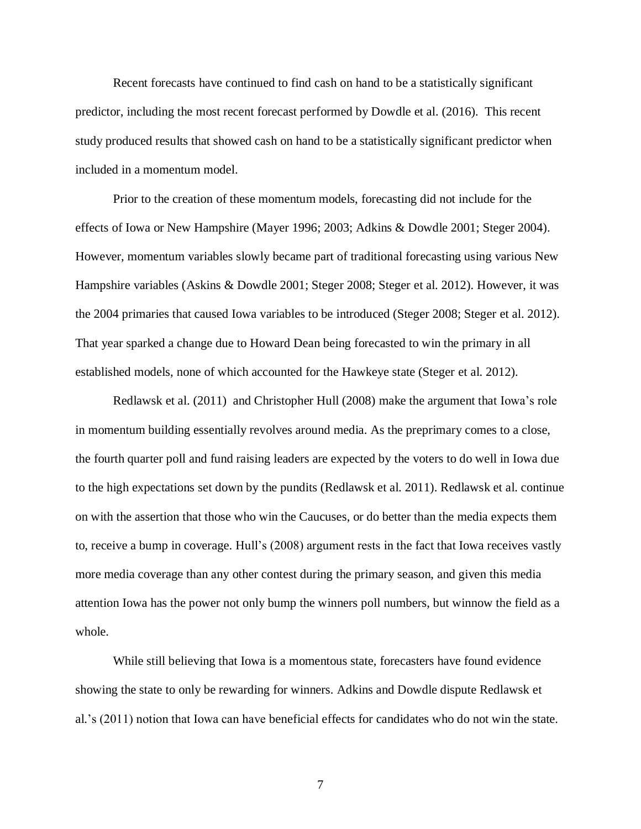Recent forecasts have continued to find cash on hand to be a statistically significant predictor, including the most recent forecast performed by Dowdle et al. (2016). This recent study produced results that showed cash on hand to be a statistically significant predictor when included in a momentum model.

Prior to the creation of these momentum models, forecasting did not include for the effects of Iowa or New Hampshire (Mayer 1996; 2003; Adkins & Dowdle 2001; Steger 2004). However, momentum variables slowly became part of traditional forecasting using various New Hampshire variables (Askins & Dowdle 2001; Steger 2008; Steger et al. 2012). However, it was the 2004 primaries that caused Iowa variables to be introduced (Steger 2008; Steger et al. 2012). That year sparked a change due to Howard Dean being forecasted to win the primary in all established models, none of which accounted for the Hawkeye state (Steger et al. 2012).

Redlawsk et al. (2011) and Christopher Hull (2008) make the argument that Iowa's role in momentum building essentially revolves around media. As the preprimary comes to a close, the fourth quarter poll and fund raising leaders are expected by the voters to do well in Iowa due to the high expectations set down by the pundits (Redlawsk et al. 2011). Redlawsk et al. continue on with the assertion that those who win the Caucuses, or do better than the media expects them to, receive a bump in coverage. Hull's (2008) argument rests in the fact that Iowa receives vastly more media coverage than any other contest during the primary season, and given this media attention Iowa has the power not only bump the winners poll numbers, but winnow the field as a whole.

While still believing that Iowa is a momentous state, forecasters have found evidence showing the state to only be rewarding for winners. Adkins and Dowdle dispute Redlawsk et al.'s (2011) notion that Iowa can have beneficial effects for candidates who do not win the state.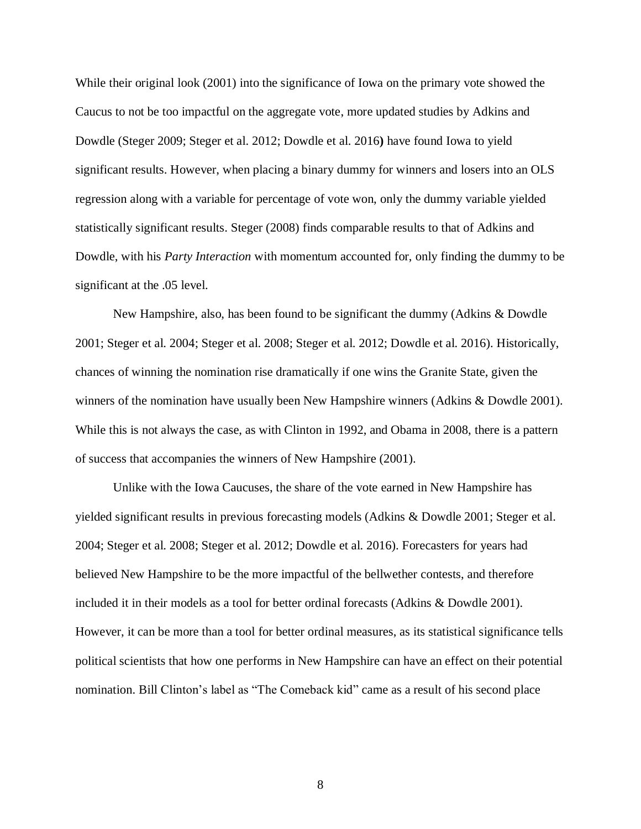While their original look (2001) into the significance of Iowa on the primary vote showed the Caucus to not be too impactful on the aggregate vote, more updated studies by Adkins and Dowdle (Steger 2009; Steger et al. 2012; Dowdle et al. 2016**)** have found Iowa to yield significant results. However, when placing a binary dummy for winners and losers into an OLS regression along with a variable for percentage of vote won, only the dummy variable yielded statistically significant results. Steger (2008) finds comparable results to that of Adkins and Dowdle, with his *Party Interaction* with momentum accounted for, only finding the dummy to be significant at the .05 level.

New Hampshire, also, has been found to be significant the dummy (Adkins & Dowdle 2001; Steger et al. 2004; Steger et al. 2008; Steger et al. 2012; Dowdle et al. 2016). Historically, chances of winning the nomination rise dramatically if one wins the Granite State, given the winners of the nomination have usually been New Hampshire winners (Adkins & Dowdle 2001). While this is not always the case, as with Clinton in 1992, and Obama in 2008, there is a pattern of success that accompanies the winners of New Hampshire (2001).

Unlike with the Iowa Caucuses, the share of the vote earned in New Hampshire has yielded significant results in previous forecasting models (Adkins & Dowdle 2001; Steger et al. 2004; Steger et al. 2008; Steger et al. 2012; Dowdle et al. 2016). Forecasters for years had believed New Hampshire to be the more impactful of the bellwether contests, and therefore included it in their models as a tool for better ordinal forecasts (Adkins & Dowdle 2001). However, it can be more than a tool for better ordinal measures, as its statistical significance tells political scientists that how one performs in New Hampshire can have an effect on their potential nomination. Bill Clinton's label as "The Comeback kid" came as a result of his second place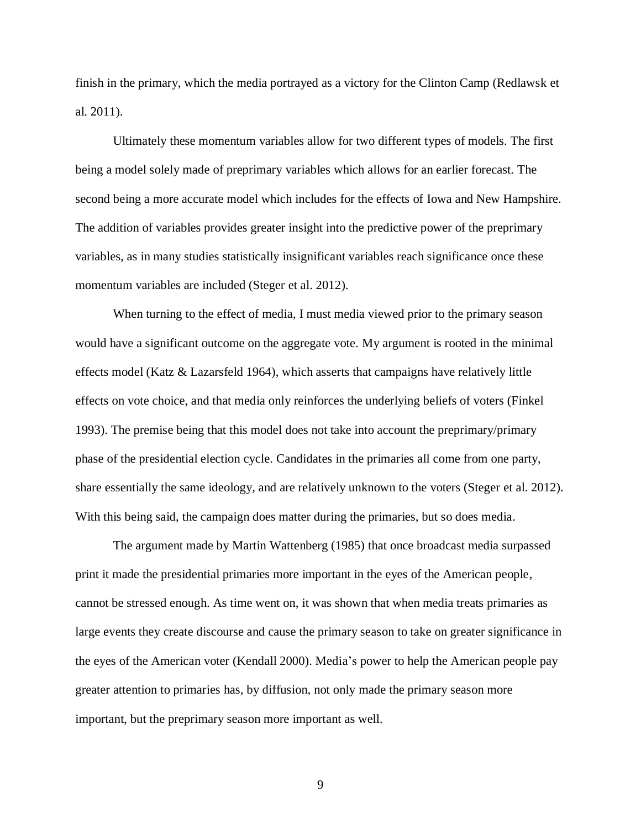finish in the primary, which the media portrayed as a victory for the Clinton Camp (Redlawsk et al. 2011).

Ultimately these momentum variables allow for two different types of models. The first being a model solely made of preprimary variables which allows for an earlier forecast. The second being a more accurate model which includes for the effects of Iowa and New Hampshire. The addition of variables provides greater insight into the predictive power of the preprimary variables, as in many studies statistically insignificant variables reach significance once these momentum variables are included (Steger et al. 2012).

When turning to the effect of media, I must media viewed prior to the primary season would have a significant outcome on the aggregate vote. My argument is rooted in the minimal effects model (Katz & Lazarsfeld 1964), which asserts that campaigns have relatively little effects on vote choice, and that media only reinforces the underlying beliefs of voters (Finkel 1993). The premise being that this model does not take into account the preprimary/primary phase of the presidential election cycle. Candidates in the primaries all come from one party, share essentially the same ideology, and are relatively unknown to the voters (Steger et al. 2012). With this being said, the campaign does matter during the primaries, but so does media.

The argument made by Martin Wattenberg (1985) that once broadcast media surpassed print it made the presidential primaries more important in the eyes of the American people, cannot be stressed enough. As time went on, it was shown that when media treats primaries as large events they create discourse and cause the primary season to take on greater significance in the eyes of the American voter (Kendall 2000). Media's power to help the American people pay greater attention to primaries has, by diffusion, not only made the primary season more important, but the preprimary season more important as well.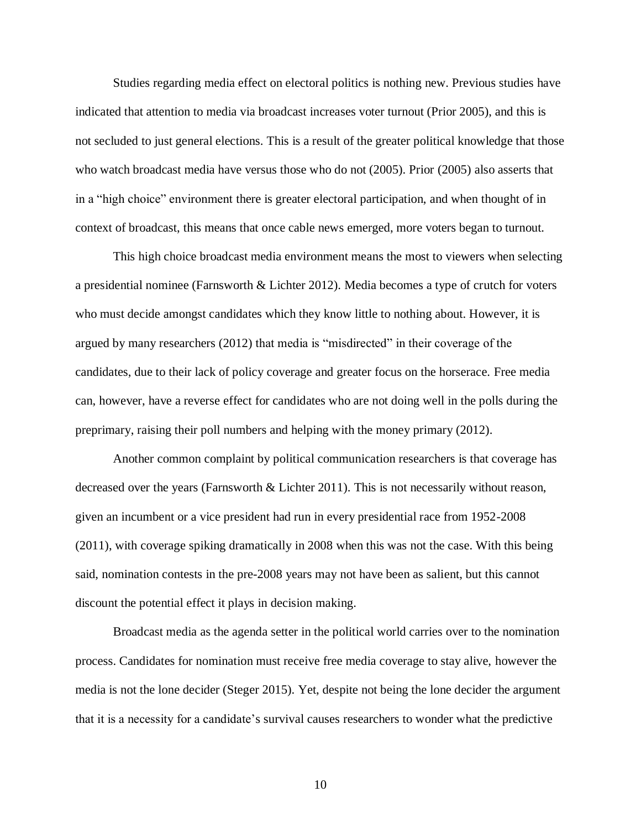Studies regarding media effect on electoral politics is nothing new. Previous studies have indicated that attention to media via broadcast increases voter turnout (Prior 2005), and this is not secluded to just general elections. This is a result of the greater political knowledge that those who watch broadcast media have versus those who do not (2005). Prior (2005) also asserts that in a "high choice" environment there is greater electoral participation, and when thought of in context of broadcast, this means that once cable news emerged, more voters began to turnout.

This high choice broadcast media environment means the most to viewers when selecting a presidential nominee (Farnsworth & Lichter 2012). Media becomes a type of crutch for voters who must decide amongst candidates which they know little to nothing about. However, it is argued by many researchers (2012) that media is "misdirected" in their coverage of the candidates, due to their lack of policy coverage and greater focus on the horserace. Free media can, however, have a reverse effect for candidates who are not doing well in the polls during the preprimary, raising their poll numbers and helping with the money primary (2012).

Another common complaint by political communication researchers is that coverage has decreased over the years (Farnsworth & Lichter 2011). This is not necessarily without reason, given an incumbent or a vice president had run in every presidential race from 1952-2008 (2011), with coverage spiking dramatically in 2008 when this was not the case. With this being said, nomination contests in the pre-2008 years may not have been as salient, but this cannot discount the potential effect it plays in decision making.

Broadcast media as the agenda setter in the political world carries over to the nomination process. Candidates for nomination must receive free media coverage to stay alive, however the media is not the lone decider (Steger 2015). Yet, despite not being the lone decider the argument that it is a necessity for a candidate's survival causes researchers to wonder what the predictive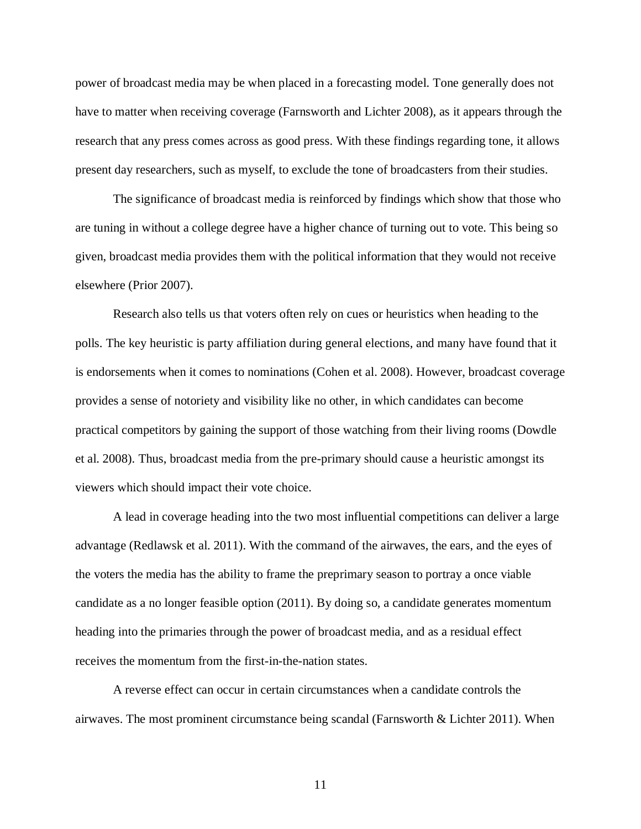power of broadcast media may be when placed in a forecasting model. Tone generally does not have to matter when receiving coverage (Farnsworth and Lichter 2008), as it appears through the research that any press comes across as good press. With these findings regarding tone, it allows present day researchers, such as myself, to exclude the tone of broadcasters from their studies.

The significance of broadcast media is reinforced by findings which show that those who are tuning in without a college degree have a higher chance of turning out to vote. This being so given, broadcast media provides them with the political information that they would not receive elsewhere (Prior 2007).

Research also tells us that voters often rely on cues or heuristics when heading to the polls. The key heuristic is party affiliation during general elections, and many have found that it is endorsements when it comes to nominations (Cohen et al. 2008). However, broadcast coverage provides a sense of notoriety and visibility like no other, in which candidates can become practical competitors by gaining the support of those watching from their living rooms (Dowdle et al. 2008). Thus, broadcast media from the pre-primary should cause a heuristic amongst its viewers which should impact their vote choice.

A lead in coverage heading into the two most influential competitions can deliver a large advantage (Redlawsk et al. 2011). With the command of the airwaves, the ears, and the eyes of the voters the media has the ability to frame the preprimary season to portray a once viable candidate as a no longer feasible option (2011). By doing so, a candidate generates momentum heading into the primaries through the power of broadcast media, and as a residual effect receives the momentum from the first-in-the-nation states.

A reverse effect can occur in certain circumstances when a candidate controls the airwaves. The most prominent circumstance being scandal (Farnsworth & Lichter 2011). When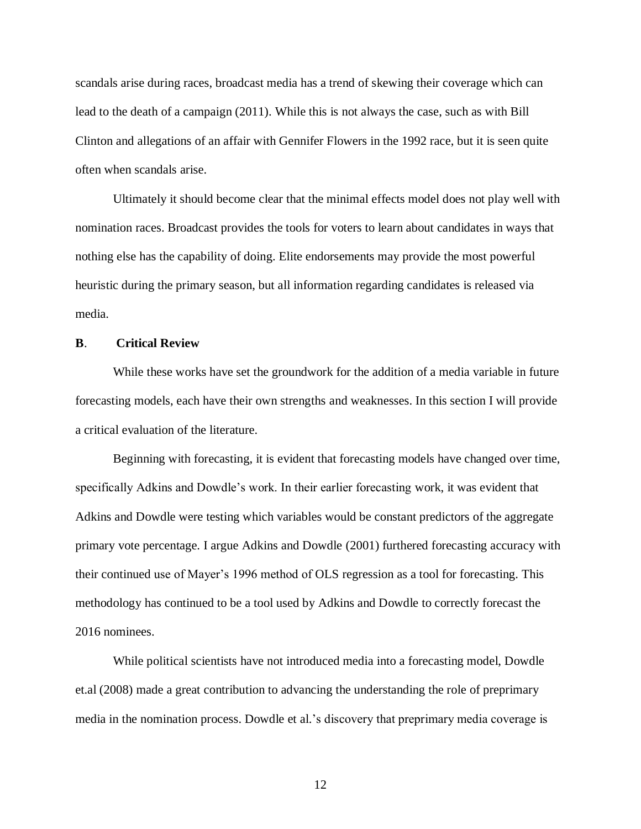scandals arise during races, broadcast media has a trend of skewing their coverage which can lead to the death of a campaign (2011). While this is not always the case, such as with Bill Clinton and allegations of an affair with Gennifer Flowers in the 1992 race, but it is seen quite often when scandals arise.

Ultimately it should become clear that the minimal effects model does not play well with nomination races. Broadcast provides the tools for voters to learn about candidates in ways that nothing else has the capability of doing. Elite endorsements may provide the most powerful heuristic during the primary season, but all information regarding candidates is released via media.

# **B**. **Critical Review**

While these works have set the groundwork for the addition of a media variable in future forecasting models, each have their own strengths and weaknesses. In this section I will provide a critical evaluation of the literature.

Beginning with forecasting, it is evident that forecasting models have changed over time, specifically Adkins and Dowdle's work. In their earlier forecasting work, it was evident that Adkins and Dowdle were testing which variables would be constant predictors of the aggregate primary vote percentage. I argue Adkins and Dowdle (2001) furthered forecasting accuracy with their continued use of Mayer's 1996 method of OLS regression as a tool for forecasting. This methodology has continued to be a tool used by Adkins and Dowdle to correctly forecast the 2016 nominees.

While political scientists have not introduced media into a forecasting model, Dowdle et.al (2008) made a great contribution to advancing the understanding the role of preprimary media in the nomination process. Dowdle et al.'s discovery that preprimary media coverage is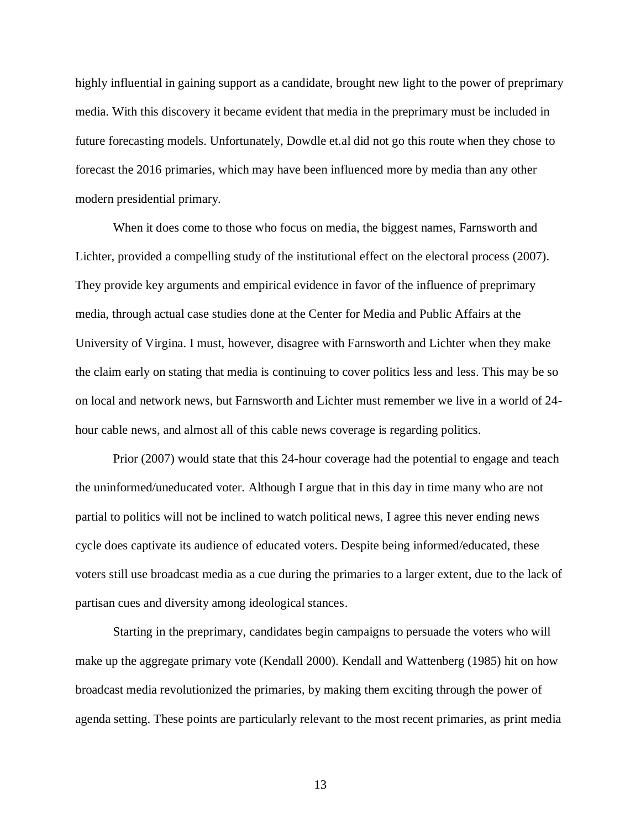highly influential in gaining support as a candidate, brought new light to the power of preprimary media. With this discovery it became evident that media in the preprimary must be included in future forecasting models. Unfortunately, Dowdle et.al did not go this route when they chose to forecast the 2016 primaries, which may have been influenced more by media than any other modern presidential primary.

When it does come to those who focus on media, the biggest names, Farnsworth and Lichter, provided a compelling study of the institutional effect on the electoral process (2007). They provide key arguments and empirical evidence in favor of the influence of preprimary media, through actual case studies done at the Center for Media and Public Affairs at the University of Virgina. I must, however, disagree with Farnsworth and Lichter when they make the claim early on stating that media is continuing to cover politics less and less. This may be so on local and network news, but Farnsworth and Lichter must remember we live in a world of 24 hour cable news, and almost all of this cable news coverage is regarding politics.

Prior (2007) would state that this 24-hour coverage had the potential to engage and teach the uninformed/uneducated voter. Although I argue that in this day in time many who are not partial to politics will not be inclined to watch political news, I agree this never ending news cycle does captivate its audience of educated voters. Despite being informed/educated, these voters still use broadcast media as a cue during the primaries to a larger extent, due to the lack of partisan cues and diversity among ideological stances.

Starting in the preprimary, candidates begin campaigns to persuade the voters who will make up the aggregate primary vote (Kendall 2000). Kendall and Wattenberg (1985) hit on how broadcast media revolutionized the primaries, by making them exciting through the power of agenda setting. These points are particularly relevant to the most recent primaries, as print media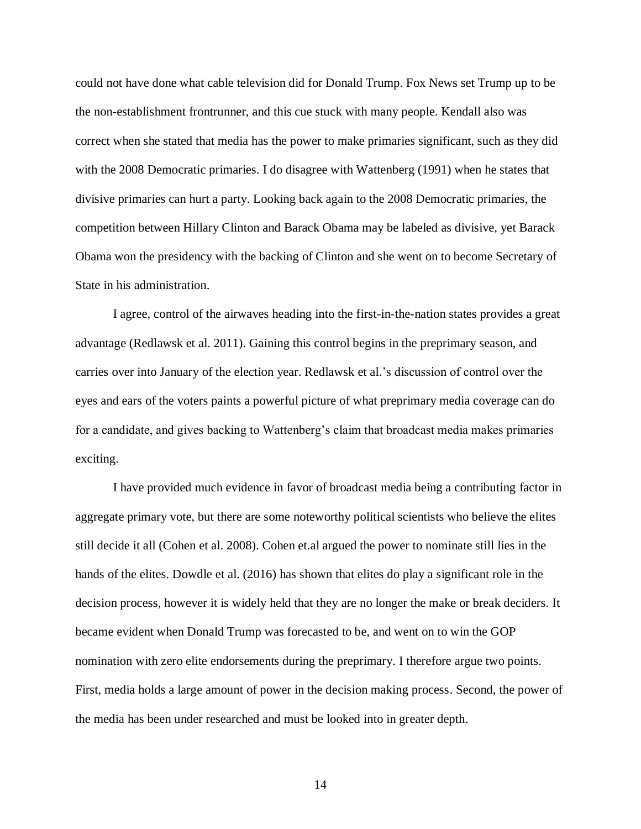could not have done what cable television did for Donald Trump. Fox News set Trump up to be the non-establishment frontrunner, and this cue stuck with many people. Kendall also was correct when she stated that media has the power to make primaries significant, such as they did with the 2008 Democratic primaries. I do disagree with Wattenberg (1991) when he states that divisive primaries can hurt a party. Looking back again to the 2008 Democratic primaries, the competition between Hillary Clinton and Barack Obama may be labeled as divisive, yet Barack Obama won the presidency with the backing of Clinton and she went on to become Secretary of State in his administration.

I agree, control of the airwaves heading into the first-in-the-nation states provides a great advantage (Redlawsk et al. 2011). Gaining this control begins in the preprimary season, and carries over into January of the election year. Redlawsk et al.'s discussion of control over the eyes and ears of the voters paints a powerful picture of what preprimary media coverage can do for a candidate, and gives backing to Wattenberg's claim that broadcast media makes primaries exciting.

I have provided much evidence in favor of broadcast media being a contributing factor in aggregate primary vote, but there are some noteworthy political scientists who believe the elites still decide it all (Cohen et al. 2008). Cohen et.al argued the power to nominate still lies in the hands of the elites. Dowdle et al. (2016) has shown that elites do play a significant role in the decision process, however it is widely held that they are no longer the make or break deciders. It became evident when Donald Trump was forecasted to be, and went on to win the GOP nomination with zero elite endorsements during the preprimary. I therefore argue two points. First, media holds a large amount of power in the decision making process. Second, the power of the media has been under researched and must be looked into in greater depth.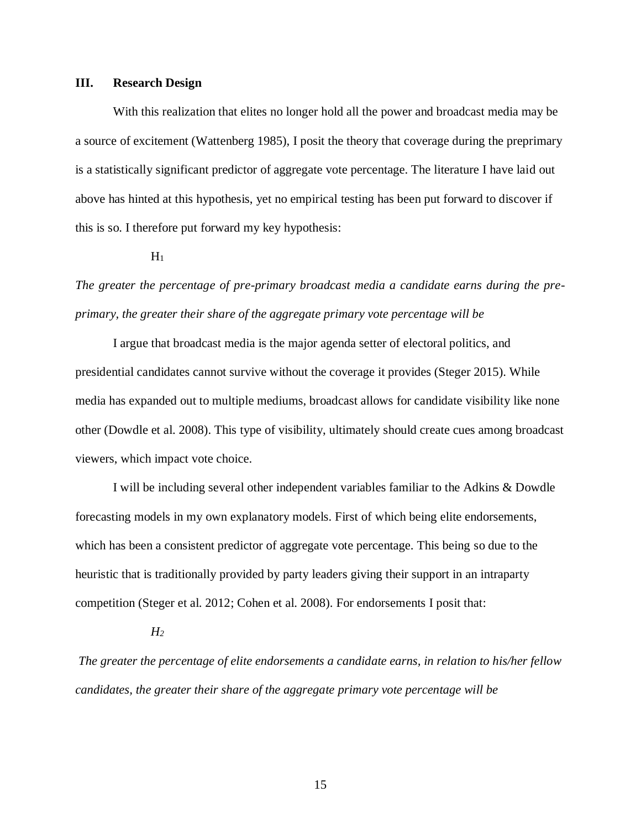# **III. Research Design**

With this realization that elites no longer hold all the power and broadcast media may be a source of excitement (Wattenberg 1985), I posit the theory that coverage during the preprimary is a statistically significant predictor of aggregate vote percentage. The literature I have laid out above has hinted at this hypothesis, yet no empirical testing has been put forward to discover if this is so. I therefore put forward my key hypothesis:

# $H_1$

*The greater the percentage of pre-primary broadcast media a candidate earns during the preprimary, the greater their share of the aggregate primary vote percentage will be*

I argue that broadcast media is the major agenda setter of electoral politics, and presidential candidates cannot survive without the coverage it provides (Steger 2015). While media has expanded out to multiple mediums, broadcast allows for candidate visibility like none other (Dowdle et al. 2008). This type of visibility, ultimately should create cues among broadcast viewers, which impact vote choice.

I will be including several other independent variables familiar to the Adkins & Dowdle forecasting models in my own explanatory models. First of which being elite endorsements, which has been a consistent predictor of aggregate vote percentage. This being so due to the heuristic that is traditionally provided by party leaders giving their support in an intraparty competition (Steger et al. 2012; Cohen et al. 2008). For endorsements I posit that:

# *H<sup>2</sup>*

*The greater the percentage of elite endorsements a candidate earns, in relation to his/her fellow candidates, the greater their share of the aggregate primary vote percentage will be*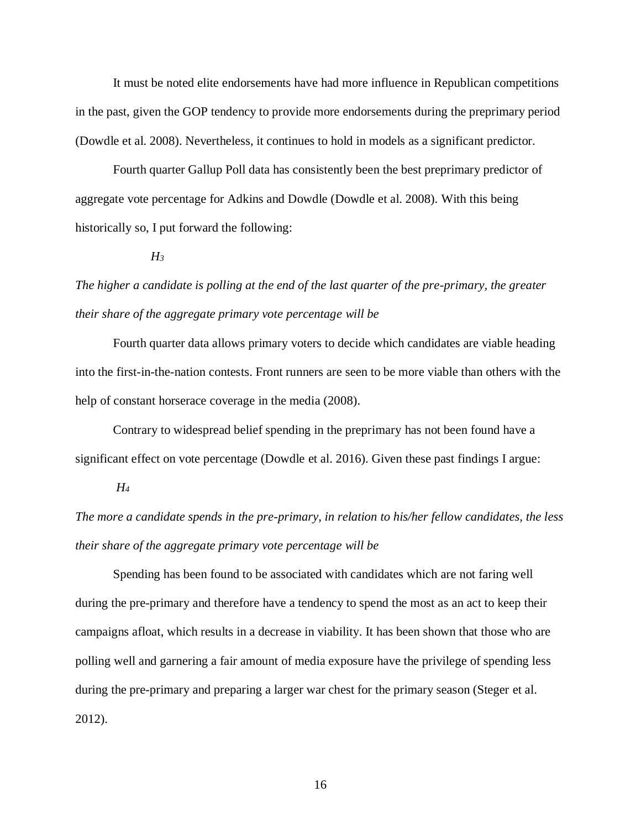It must be noted elite endorsements have had more influence in Republican competitions in the past, given the GOP tendency to provide more endorsements during the preprimary period (Dowdle et al. 2008). Nevertheless, it continues to hold in models as a significant predictor.

Fourth quarter Gallup Poll data has consistently been the best preprimary predictor of aggregate vote percentage for Adkins and Dowdle (Dowdle et al. 2008). With this being historically so, I put forward the following:

#### *H<sup>3</sup>*

*The higher a candidate is polling at the end of the last quarter of the pre-primary, the greater their share of the aggregate primary vote percentage will be*

Fourth quarter data allows primary voters to decide which candidates are viable heading into the first-in-the-nation contests. Front runners are seen to be more viable than others with the help of constant horserace coverage in the media (2008).

Contrary to widespread belief spending in the preprimary has not been found have a significant effect on vote percentage (Dowdle et al. 2016). Given these past findings I argue:

#### *H<sup>4</sup>*

*The more a candidate spends in the pre-primary, in relation to his/her fellow candidates, the less their share of the aggregate primary vote percentage will be*

Spending has been found to be associated with candidates which are not faring well during the pre-primary and therefore have a tendency to spend the most as an act to keep their campaigns afloat, which results in a decrease in viability. It has been shown that those who are polling well and garnering a fair amount of media exposure have the privilege of spending less during the pre-primary and preparing a larger war chest for the primary season (Steger et al. 2012).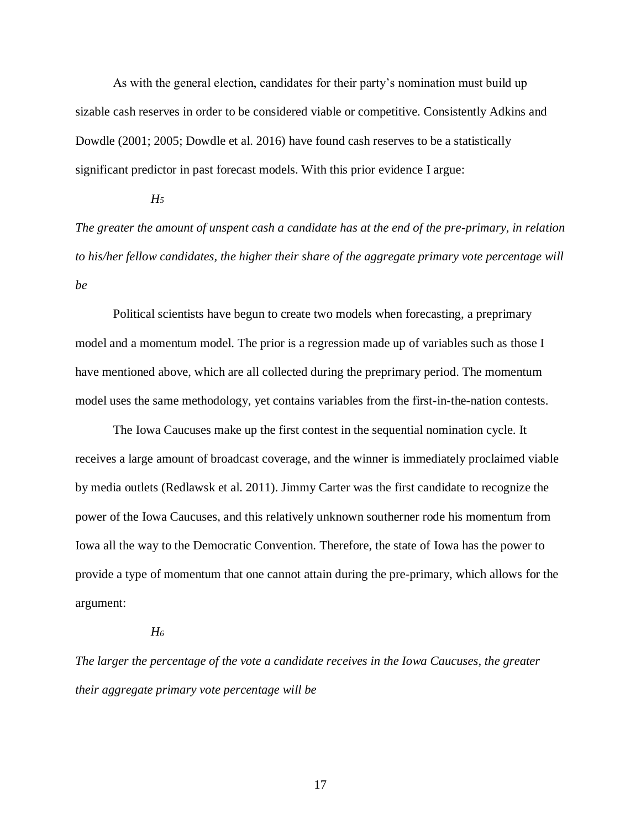As with the general election, candidates for their party's nomination must build up sizable cash reserves in order to be considered viable or competitive. Consistently Adkins and Dowdle (2001; 2005; Dowdle et al. 2016) have found cash reserves to be a statistically significant predictor in past forecast models. With this prior evidence I argue:

# *H<sup>5</sup>*

*The greater the amount of unspent cash a candidate has at the end of the pre-primary, in relation to his/her fellow candidates, the higher their share of the aggregate primary vote percentage will be*

Political scientists have begun to create two models when forecasting, a preprimary model and a momentum model. The prior is a regression made up of variables such as those I have mentioned above, which are all collected during the preprimary period. The momentum model uses the same methodology, yet contains variables from the first-in-the-nation contests.

The Iowa Caucuses make up the first contest in the sequential nomination cycle. It receives a large amount of broadcast coverage, and the winner is immediately proclaimed viable by media outlets (Redlawsk et al. 2011). Jimmy Carter was the first candidate to recognize the power of the Iowa Caucuses, and this relatively unknown southerner rode his momentum from Iowa all the way to the Democratic Convention. Therefore, the state of Iowa has the power to provide a type of momentum that one cannot attain during the pre-primary, which allows for the argument:

#### *H<sup>6</sup>*

*The larger the percentage of the vote a candidate receives in the Iowa Caucuses, the greater their aggregate primary vote percentage will be*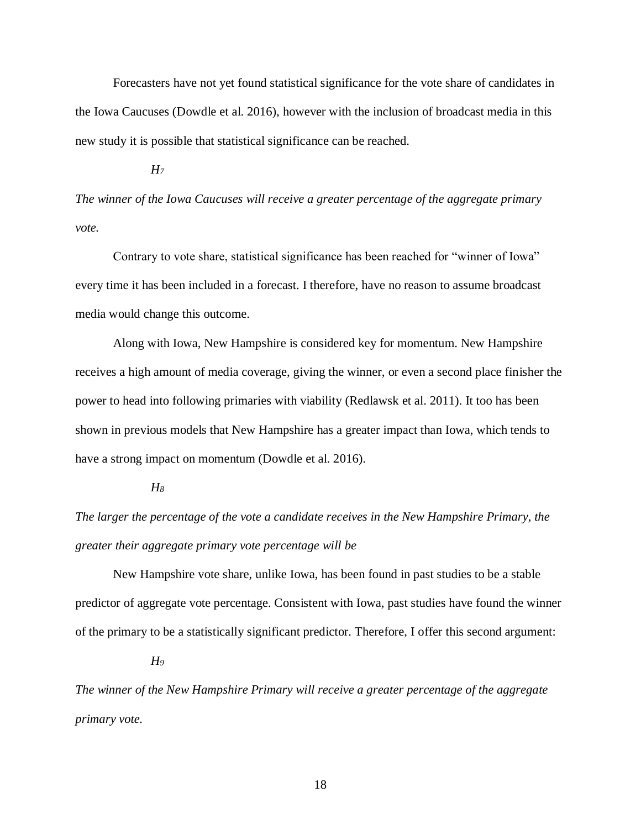Forecasters have not yet found statistical significance for the vote share of candidates in the Iowa Caucuses (Dowdle et al. 2016), however with the inclusion of broadcast media in this new study it is possible that statistical significance can be reached.

*H<sup>7</sup>*

*The winner of the Iowa Caucuses will receive a greater percentage of the aggregate primary vote.* 

Contrary to vote share, statistical significance has been reached for "winner of Iowa" every time it has been included in a forecast. I therefore, have no reason to assume broadcast media would change this outcome.

Along with Iowa, New Hampshire is considered key for momentum. New Hampshire receives a high amount of media coverage, giving the winner, or even a second place finisher the power to head into following primaries with viability (Redlawsk et al. 2011). It too has been shown in previous models that New Hampshire has a greater impact than Iowa, which tends to have a strong impact on momentum (Dowdle et al. 2016).

# *H<sup>8</sup>*

*The larger the percentage of the vote a candidate receives in the New Hampshire Primary, the greater their aggregate primary vote percentage will be*

New Hampshire vote share, unlike Iowa, has been found in past studies to be a stable predictor of aggregate vote percentage. Consistent with Iowa, past studies have found the winner of the primary to be a statistically significant predictor. Therefore, I offer this second argument:

# *H<sup>9</sup>*

*The winner of the New Hampshire Primary will receive a greater percentage of the aggregate primary vote.*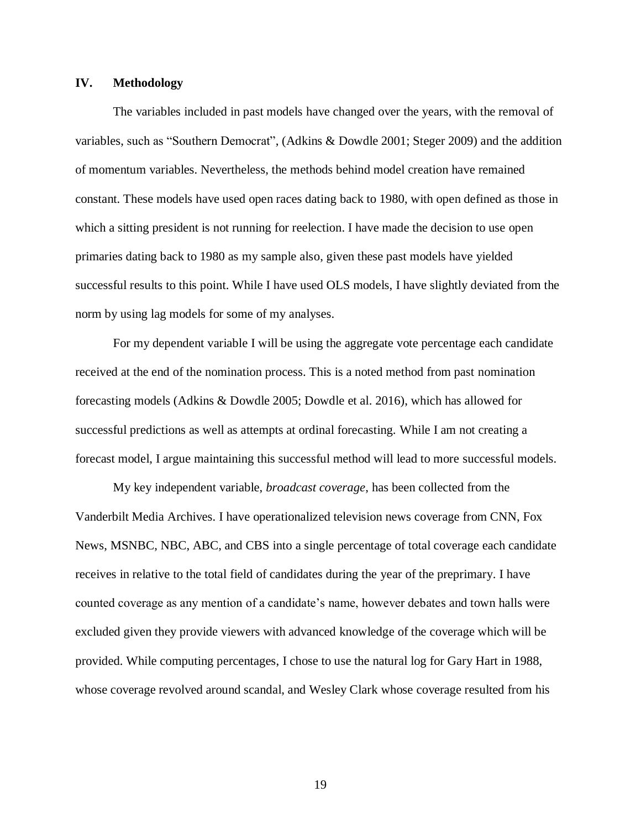# **IV. Methodology**

The variables included in past models have changed over the years, with the removal of variables, such as "Southern Democrat", (Adkins & Dowdle 2001; Steger 2009) and the addition of momentum variables. Nevertheless, the methods behind model creation have remained constant. These models have used open races dating back to 1980, with open defined as those in which a sitting president is not running for reelection. I have made the decision to use open primaries dating back to 1980 as my sample also, given these past models have yielded successful results to this point. While I have used OLS models, I have slightly deviated from the norm by using lag models for some of my analyses.

For my dependent variable I will be using the aggregate vote percentage each candidate received at the end of the nomination process. This is a noted method from past nomination forecasting models (Adkins & Dowdle 2005; Dowdle et al. 2016), which has allowed for successful predictions as well as attempts at ordinal forecasting. While I am not creating a forecast model, I argue maintaining this successful method will lead to more successful models.

My key independent variable, *broadcast coverage*, has been collected from the Vanderbilt Media Archives. I have operationalized television news coverage from CNN, Fox News, MSNBC, NBC, ABC, and CBS into a single percentage of total coverage each candidate receives in relative to the total field of candidates during the year of the preprimary. I have counted coverage as any mention of a candidate's name, however debates and town halls were excluded given they provide viewers with advanced knowledge of the coverage which will be provided. While computing percentages, I chose to use the natural log for Gary Hart in 1988, whose coverage revolved around scandal, and Wesley Clark whose coverage resulted from his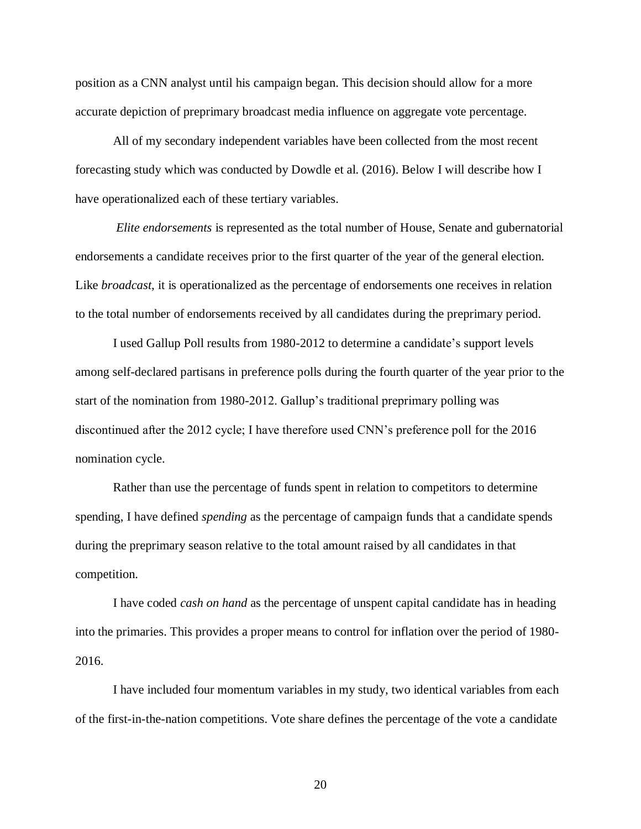position as a CNN analyst until his campaign began. This decision should allow for a more accurate depiction of preprimary broadcast media influence on aggregate vote percentage.

All of my secondary independent variables have been collected from the most recent forecasting study which was conducted by Dowdle et al. (2016). Below I will describe how I have operationalized each of these tertiary variables.

*Elite endorsements* is represented as the total number of House, Senate and gubernatorial endorsements a candidate receives prior to the first quarter of the year of the general election. Like *broadcast*, it is operationalized as the percentage of endorsements one receives in relation to the total number of endorsements received by all candidates during the preprimary period.

I used Gallup Poll results from 1980-2012 to determine a candidate's support levels among self-declared partisans in preference polls during the fourth quarter of the year prior to the start of the nomination from 1980-2012. Gallup's traditional preprimary polling was discontinued after the 2012 cycle; I have therefore used CNN's preference poll for the 2016 nomination cycle.

Rather than use the percentage of funds spent in relation to competitors to determine spending, I have defined *spending* as the percentage of campaign funds that a candidate spends during the preprimary season relative to the total amount raised by all candidates in that competition.

I have coded *cash on hand* as the percentage of unspent capital candidate has in heading into the primaries. This provides a proper means to control for inflation over the period of 1980- 2016.

I have included four momentum variables in my study, two identical variables from each of the first-in-the-nation competitions. Vote share defines the percentage of the vote a candidate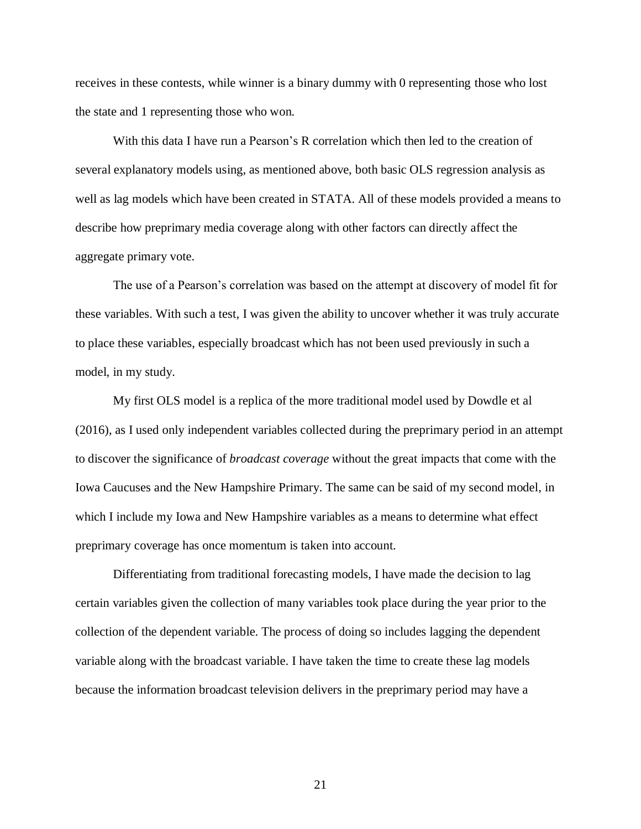receives in these contests, while winner is a binary dummy with 0 representing those who lost the state and 1 representing those who won.

With this data I have run a Pearson's R correlation which then led to the creation of several explanatory models using, as mentioned above, both basic OLS regression analysis as well as lag models which have been created in STATA. All of these models provided a means to describe how preprimary media coverage along with other factors can directly affect the aggregate primary vote.

The use of a Pearson's correlation was based on the attempt at discovery of model fit for these variables. With such a test, I was given the ability to uncover whether it was truly accurate to place these variables, especially broadcast which has not been used previously in such a model, in my study.

My first OLS model is a replica of the more traditional model used by Dowdle et al (2016), as I used only independent variables collected during the preprimary period in an attempt to discover the significance of *broadcast coverage* without the great impacts that come with the Iowa Caucuses and the New Hampshire Primary. The same can be said of my second model, in which I include my Iowa and New Hampshire variables as a means to determine what effect preprimary coverage has once momentum is taken into account.

Differentiating from traditional forecasting models, I have made the decision to lag certain variables given the collection of many variables took place during the year prior to the collection of the dependent variable. The process of doing so includes lagging the dependent variable along with the broadcast variable. I have taken the time to create these lag models because the information broadcast television delivers in the preprimary period may have a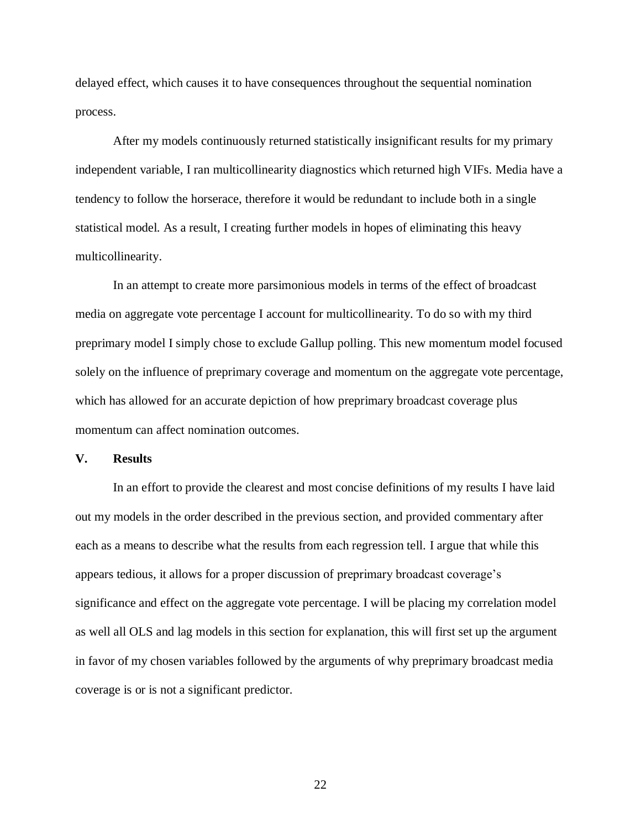delayed effect, which causes it to have consequences throughout the sequential nomination process.

After my models continuously returned statistically insignificant results for my primary independent variable, I ran multicollinearity diagnostics which returned high VIFs. Media have a tendency to follow the horserace, therefore it would be redundant to include both in a single statistical model. As a result, I creating further models in hopes of eliminating this heavy multicollinearity.

In an attempt to create more parsimonious models in terms of the effect of broadcast media on aggregate vote percentage I account for multicollinearity. To do so with my third preprimary model I simply chose to exclude Gallup polling. This new momentum model focused solely on the influence of preprimary coverage and momentum on the aggregate vote percentage, which has allowed for an accurate depiction of how preprimary broadcast coverage plus momentum can affect nomination outcomes.

**V. Results**

In an effort to provide the clearest and most concise definitions of my results I have laid out my models in the order described in the previous section, and provided commentary after each as a means to describe what the results from each regression tell. I argue that while this appears tedious, it allows for a proper discussion of preprimary broadcast coverage's significance and effect on the aggregate vote percentage. I will be placing my correlation model as well all OLS and lag models in this section for explanation, this will first set up the argument in favor of my chosen variables followed by the arguments of why preprimary broadcast media coverage is or is not a significant predictor.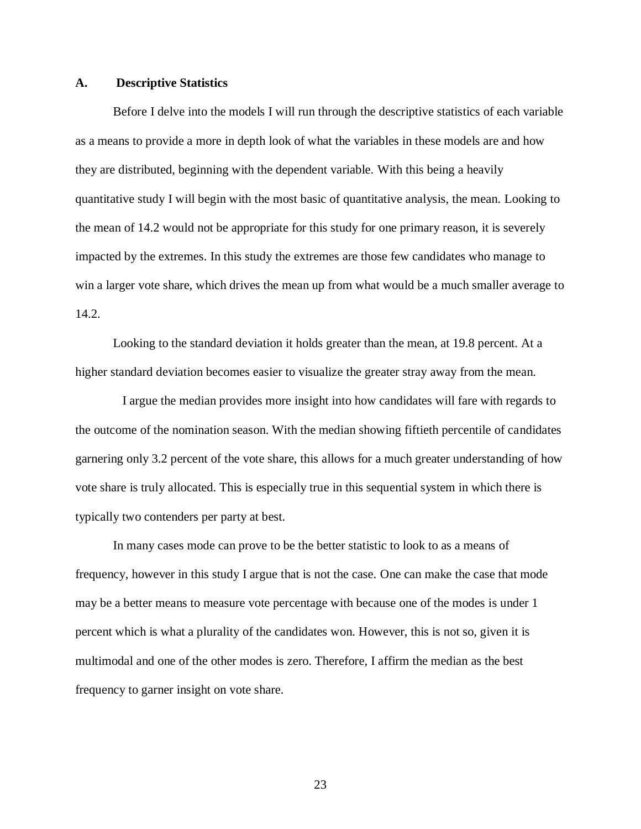# **A. Descriptive Statistics**

Before I delve into the models I will run through the descriptive statistics of each variable as a means to provide a more in depth look of what the variables in these models are and how they are distributed, beginning with the dependent variable. With this being a heavily quantitative study I will begin with the most basic of quantitative analysis, the mean. Looking to the mean of 14.2 would not be appropriate for this study for one primary reason, it is severely impacted by the extremes. In this study the extremes are those few candidates who manage to win a larger vote share, which drives the mean up from what would be a much smaller average to 14.2.

Looking to the standard deviation it holds greater than the mean, at 19.8 percent. At a higher standard deviation becomes easier to visualize the greater stray away from the mean.

 I argue the median provides more insight into how candidates will fare with regards to the outcome of the nomination season. With the median showing fiftieth percentile of candidates garnering only 3.2 percent of the vote share, this allows for a much greater understanding of how vote share is truly allocated. This is especially true in this sequential system in which there is typically two contenders per party at best.

In many cases mode can prove to be the better statistic to look to as a means of frequency, however in this study I argue that is not the case. One can make the case that mode may be a better means to measure vote percentage with because one of the modes is under 1 percent which is what a plurality of the candidates won. However, this is not so, given it is multimodal and one of the other modes is zero. Therefore, I affirm the median as the best frequency to garner insight on vote share.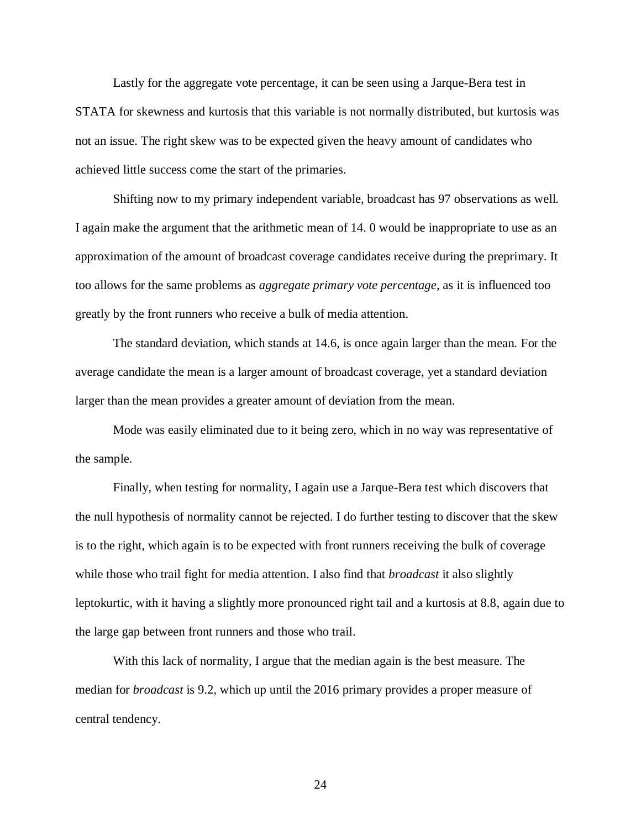Lastly for the aggregate vote percentage, it can be seen using a Jarque-Bera test in STATA for skewness and kurtosis that this variable is not normally distributed, but kurtosis was not an issue. The right skew was to be expected given the heavy amount of candidates who achieved little success come the start of the primaries.

Shifting now to my primary independent variable, broadcast has 97 observations as well. I again make the argument that the arithmetic mean of 14. 0 would be inappropriate to use as an approximation of the amount of broadcast coverage candidates receive during the preprimary. It too allows for the same problems as *aggregate primary vote percentage*, as it is influenced too greatly by the front runners who receive a bulk of media attention.

The standard deviation, which stands at 14.6, is once again larger than the mean. For the average candidate the mean is a larger amount of broadcast coverage, yet a standard deviation larger than the mean provides a greater amount of deviation from the mean.

Mode was easily eliminated due to it being zero, which in no way was representative of the sample.

Finally, when testing for normality, I again use a Jarque-Bera test which discovers that the null hypothesis of normality cannot be rejected. I do further testing to discover that the skew is to the right, which again is to be expected with front runners receiving the bulk of coverage while those who trail fight for media attention. I also find that *broadcast* it also slightly leptokurtic, with it having a slightly more pronounced right tail and a kurtosis at 8.8, again due to the large gap between front runners and those who trail.

With this lack of normality, I argue that the median again is the best measure. The median for *broadcast* is 9.2, which up until the 2016 primary provides a proper measure of central tendency.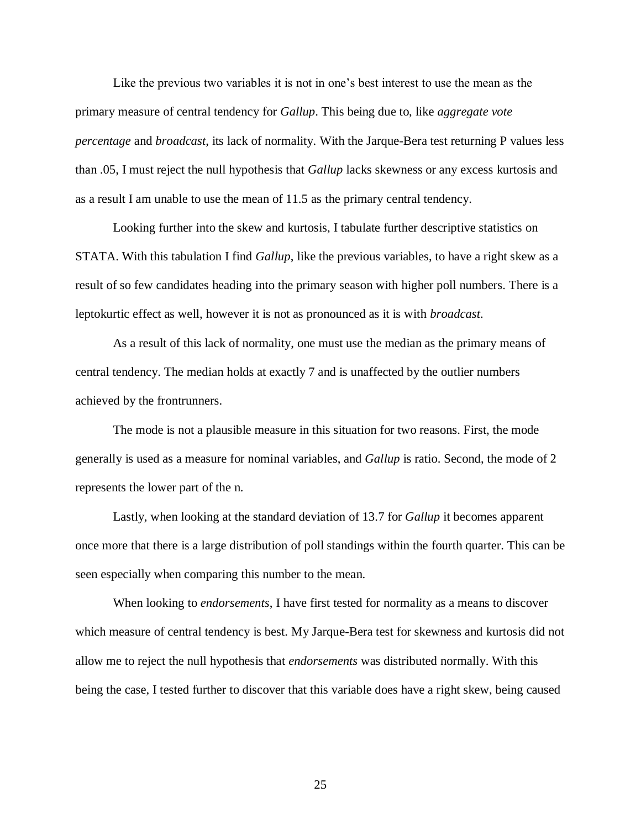Like the previous two variables it is not in one's best interest to use the mean as the primary measure of central tendency for *Gallup*. This being due to, like *aggregate vote percentage* and *broadcast*, its lack of normality. With the Jarque-Bera test returning P values less than .05, I must reject the null hypothesis that *Gallup* lacks skewness or any excess kurtosis and as a result I am unable to use the mean of 11.5 as the primary central tendency.

Looking further into the skew and kurtosis, I tabulate further descriptive statistics on STATA. With this tabulation I find *Gallup*, like the previous variables, to have a right skew as a result of so few candidates heading into the primary season with higher poll numbers. There is a leptokurtic effect as well, however it is not as pronounced as it is with *broadcast*.

As a result of this lack of normality, one must use the median as the primary means of central tendency. The median holds at exactly 7 and is unaffected by the outlier numbers achieved by the frontrunners.

The mode is not a plausible measure in this situation for two reasons. First, the mode generally is used as a measure for nominal variables, and *Gallup* is ratio. Second, the mode of 2 represents the lower part of the n.

Lastly, when looking at the standard deviation of 13.7 for *Gallup* it becomes apparent once more that there is a large distribution of poll standings within the fourth quarter. This can be seen especially when comparing this number to the mean.

When looking to *endorsements*, I have first tested for normality as a means to discover which measure of central tendency is best. My Jarque-Bera test for skewness and kurtosis did not allow me to reject the null hypothesis that *endorsements* was distributed normally. With this being the case, I tested further to discover that this variable does have a right skew, being caused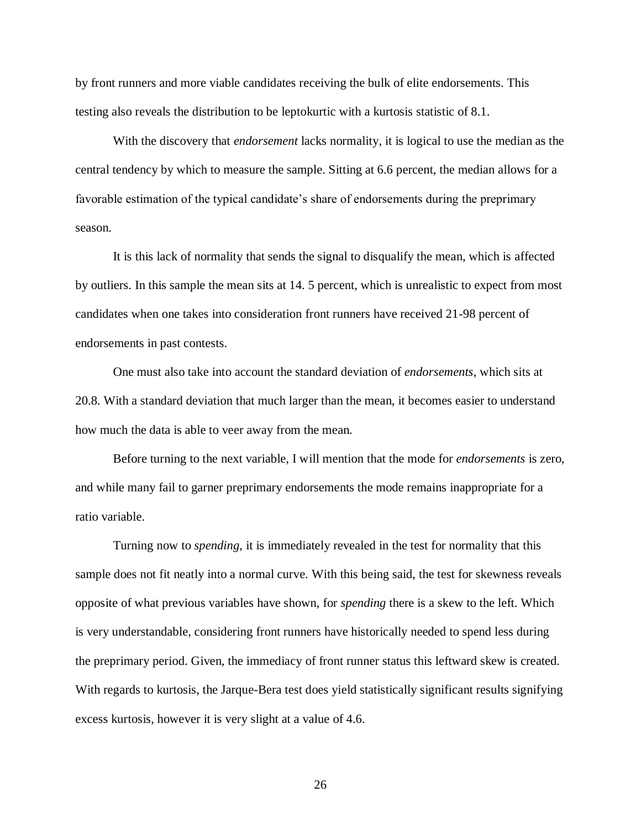by front runners and more viable candidates receiving the bulk of elite endorsements. This testing also reveals the distribution to be leptokurtic with a kurtosis statistic of 8.1.

With the discovery that *endorsement* lacks normality, it is logical to use the median as the central tendency by which to measure the sample. Sitting at 6.6 percent, the median allows for a favorable estimation of the typical candidate's share of endorsements during the preprimary season.

It is this lack of normality that sends the signal to disqualify the mean, which is affected by outliers. In this sample the mean sits at 14. 5 percent, which is unrealistic to expect from most candidates when one takes into consideration front runners have received 21-98 percent of endorsements in past contests.

One must also take into account the standard deviation of *endorsements*, which sits at 20.8. With a standard deviation that much larger than the mean, it becomes easier to understand how much the data is able to veer away from the mean.

Before turning to the next variable, I will mention that the mode for *endorsements* is zero, and while many fail to garner preprimary endorsements the mode remains inappropriate for a ratio variable.

Turning now to *spending*, it is immediately revealed in the test for normality that this sample does not fit neatly into a normal curve. With this being said, the test for skewness reveals opposite of what previous variables have shown, for *spending* there is a skew to the left. Which is very understandable, considering front runners have historically needed to spend less during the preprimary period. Given, the immediacy of front runner status this leftward skew is created. With regards to kurtosis, the Jarque-Bera test does yield statistically significant results signifying excess kurtosis, however it is very slight at a value of 4.6.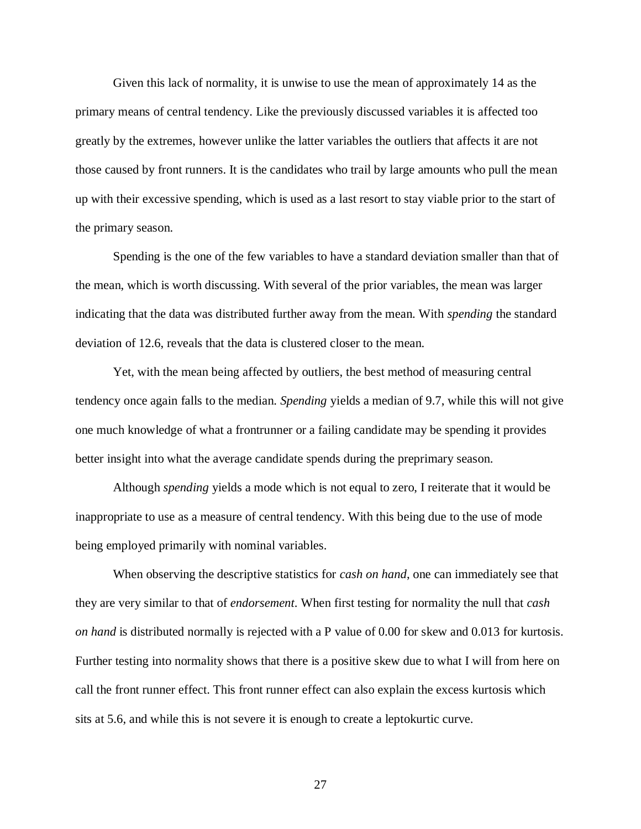Given this lack of normality, it is unwise to use the mean of approximately 14 as the primary means of central tendency. Like the previously discussed variables it is affected too greatly by the extremes, however unlike the latter variables the outliers that affects it are not those caused by front runners. It is the candidates who trail by large amounts who pull the mean up with their excessive spending, which is used as a last resort to stay viable prior to the start of the primary season.

Spending is the one of the few variables to have a standard deviation smaller than that of the mean, which is worth discussing. With several of the prior variables, the mean was larger indicating that the data was distributed further away from the mean. With *spending* the standard deviation of 12.6, reveals that the data is clustered closer to the mean.

Yet, with the mean being affected by outliers, the best method of measuring central tendency once again falls to the median. *Spending* yields a median of 9.7, while this will not give one much knowledge of what a frontrunner or a failing candidate may be spending it provides better insight into what the average candidate spends during the preprimary season.

Although *spending* yields a mode which is not equal to zero, I reiterate that it would be inappropriate to use as a measure of central tendency. With this being due to the use of mode being employed primarily with nominal variables.

When observing the descriptive statistics for *cash on hand*, one can immediately see that they are very similar to that of *endorsement*. When first testing for normality the null that *cash on hand* is distributed normally is rejected with a P value of 0.00 for skew and 0.013 for kurtosis. Further testing into normality shows that there is a positive skew due to what I will from here on call the front runner effect. This front runner effect can also explain the excess kurtosis which sits at 5.6, and while this is not severe it is enough to create a leptokurtic curve.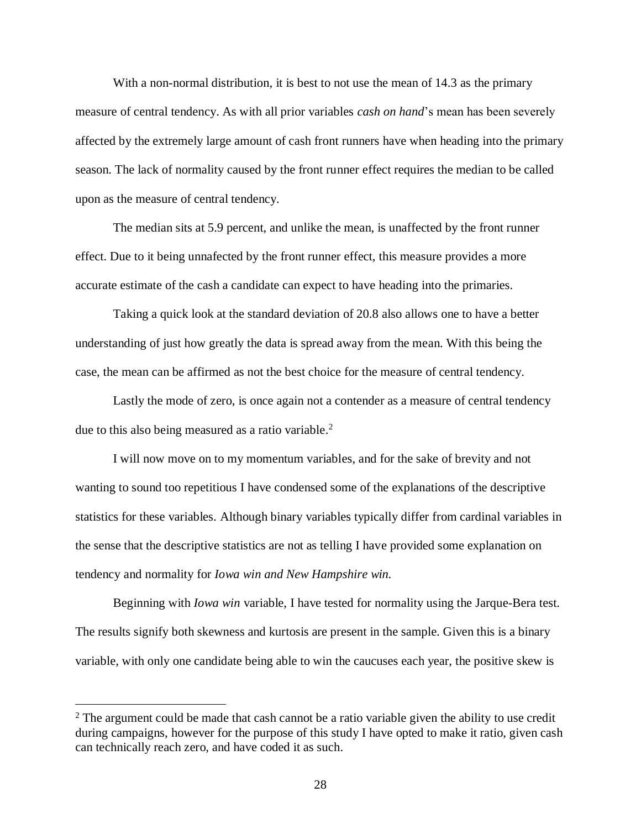With a non-normal distribution, it is best to not use the mean of 14.3 as the primary measure of central tendency. As with all prior variables *cash on hand*'s mean has been severely affected by the extremely large amount of cash front runners have when heading into the primary season. The lack of normality caused by the front runner effect requires the median to be called upon as the measure of central tendency.

The median sits at 5.9 percent, and unlike the mean, is unaffected by the front runner effect. Due to it being unnafected by the front runner effect, this measure provides a more accurate estimate of the cash a candidate can expect to have heading into the primaries.

Taking a quick look at the standard deviation of 20.8 also allows one to have a better understanding of just how greatly the data is spread away from the mean. With this being the case, the mean can be affirmed as not the best choice for the measure of central tendency.

Lastly the mode of zero, is once again not a contender as a measure of central tendency due to this also being measured as a ratio variable. 2

I will now move on to my momentum variables, and for the sake of brevity and not wanting to sound too repetitious I have condensed some of the explanations of the descriptive statistics for these variables. Although binary variables typically differ from cardinal variables in the sense that the descriptive statistics are not as telling I have provided some explanation on tendency and normality for *Iowa win and New Hampshire win.* 

Beginning with *Iowa win* variable, I have tested for normality using the Jarque-Bera test. The results signify both skewness and kurtosis are present in the sample. Given this is a binary variable, with only one candidate being able to win the caucuses each year, the positive skew is

 $\overline{a}$ 

<sup>&</sup>lt;sup>2</sup> The argument could be made that cash cannot be a ratio variable given the ability to use credit during campaigns, however for the purpose of this study I have opted to make it ratio, given cash can technically reach zero, and have coded it as such.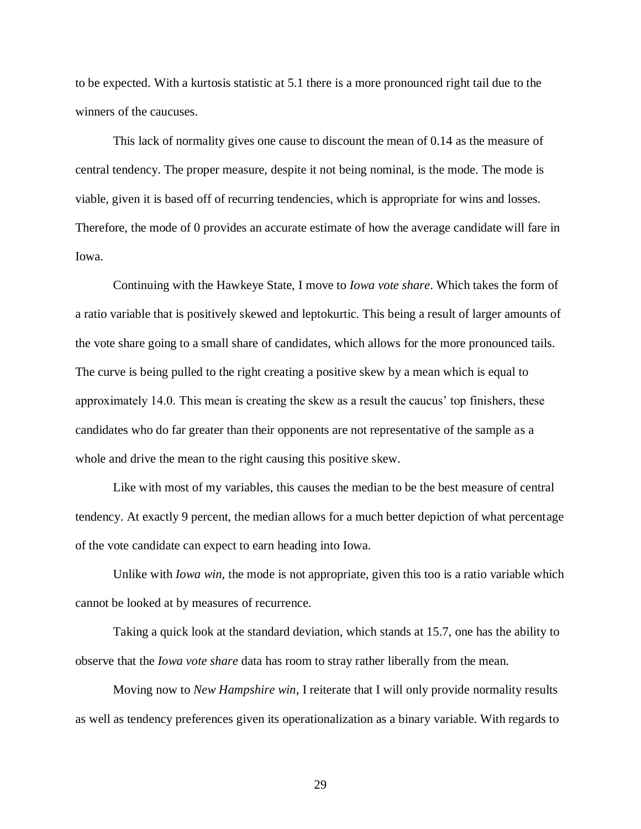to be expected. With a kurtosis statistic at 5.1 there is a more pronounced right tail due to the winners of the caucuses.

This lack of normality gives one cause to discount the mean of 0.14 as the measure of central tendency. The proper measure, despite it not being nominal, is the mode. The mode is viable, given it is based off of recurring tendencies, which is appropriate for wins and losses. Therefore, the mode of 0 provides an accurate estimate of how the average candidate will fare in Iowa.

Continuing with the Hawkeye State, I move to *Iowa vote share*. Which takes the form of a ratio variable that is positively skewed and leptokurtic. This being a result of larger amounts of the vote share going to a small share of candidates, which allows for the more pronounced tails. The curve is being pulled to the right creating a positive skew by a mean which is equal to approximately 14.0. This mean is creating the skew as a result the caucus' top finishers, these candidates who do far greater than their opponents are not representative of the sample as a whole and drive the mean to the right causing this positive skew.

Like with most of my variables, this causes the median to be the best measure of central tendency. At exactly 9 percent, the median allows for a much better depiction of what percentage of the vote candidate can expect to earn heading into Iowa.

Unlike with *Iowa win*, the mode is not appropriate, given this too is a ratio variable which cannot be looked at by measures of recurrence.

Taking a quick look at the standard deviation, which stands at 15.7, one has the ability to observe that the *Iowa vote share* data has room to stray rather liberally from the mean.

Moving now to *New Hampshire win*, I reiterate that I will only provide normality results as well as tendency preferences given its operationalization as a binary variable. With regards to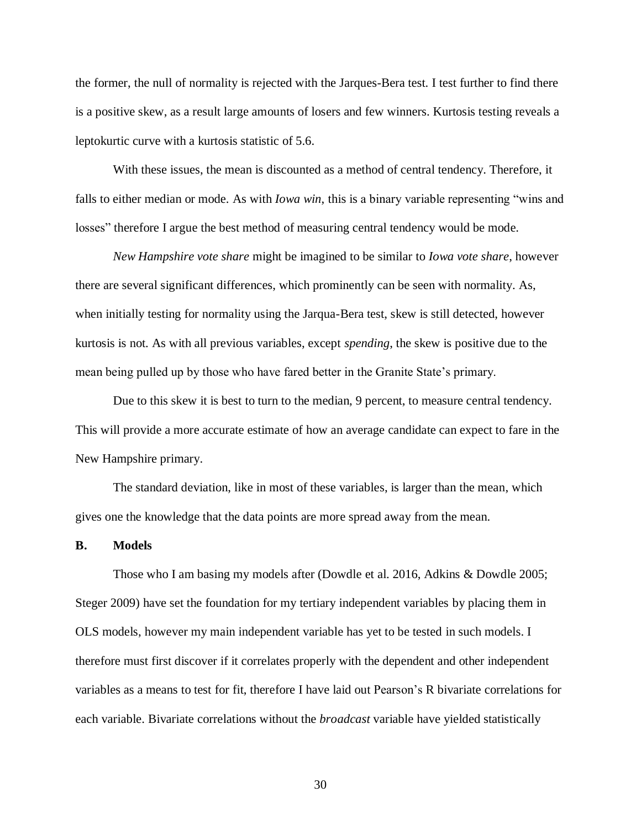the former, the null of normality is rejected with the Jarques-Bera test. I test further to find there is a positive skew, as a result large amounts of losers and few winners. Kurtosis testing reveals a leptokurtic curve with a kurtosis statistic of 5.6.

With these issues, the mean is discounted as a method of central tendency. Therefore, it falls to either median or mode. As with *Iowa win*, this is a binary variable representing "wins and losses" therefore I argue the best method of measuring central tendency would be mode.

*New Hampshire vote share* might be imagined to be similar to *Iowa vote share*, however there are several significant differences, which prominently can be seen with normality. As, when initially testing for normality using the Jarqua-Bera test, skew is still detected, however kurtosis is not. As with all previous variables, except *spending*, the skew is positive due to the mean being pulled up by those who have fared better in the Granite State's primary.

Due to this skew it is best to turn to the median, 9 percent, to measure central tendency. This will provide a more accurate estimate of how an average candidate can expect to fare in the New Hampshire primary.

The standard deviation, like in most of these variables, is larger than the mean, which gives one the knowledge that the data points are more spread away from the mean.

#### **B. Models**

Those who I am basing my models after (Dowdle et al. 2016, Adkins & Dowdle 2005; Steger 2009) have set the foundation for my tertiary independent variables by placing them in OLS models, however my main independent variable has yet to be tested in such models. I therefore must first discover if it correlates properly with the dependent and other independent variables as a means to test for fit, therefore I have laid out Pearson's R bivariate correlations for each variable. Bivariate correlations without the *broadcast* variable have yielded statistically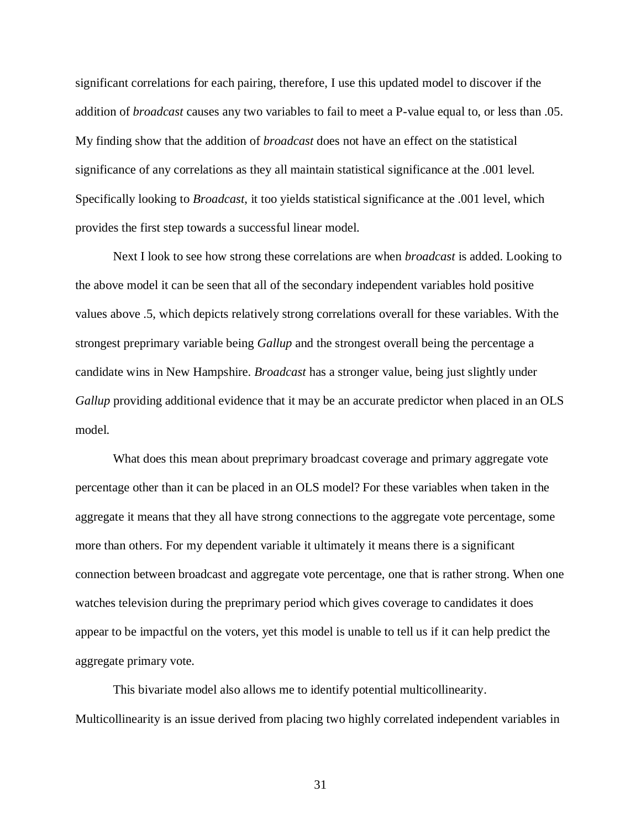significant correlations for each pairing, therefore, I use this updated model to discover if the addition of *broadcast* causes any two variables to fail to meet a P-value equal to, or less than .05. My finding show that the addition of *broadcast* does not have an effect on the statistical significance of any correlations as they all maintain statistical significance at the .001 level. Specifically looking to *Broadcast*, it too yields statistical significance at the .001 level, which provides the first step towards a successful linear model.

Next I look to see how strong these correlations are when *broadcast* is added. Looking to the above model it can be seen that all of the secondary independent variables hold positive values above .5, which depicts relatively strong correlations overall for these variables. With the strongest preprimary variable being *Gallup* and the strongest overall being the percentage a candidate wins in New Hampshire. *Broadcast* has a stronger value, being just slightly under *Gallup* providing additional evidence that it may be an accurate predictor when placed in an OLS model.

What does this mean about preprimary broadcast coverage and primary aggregate vote percentage other than it can be placed in an OLS model? For these variables when taken in the aggregate it means that they all have strong connections to the aggregate vote percentage, some more than others. For my dependent variable it ultimately it means there is a significant connection between broadcast and aggregate vote percentage, one that is rather strong. When one watches television during the preprimary period which gives coverage to candidates it does appear to be impactful on the voters, yet this model is unable to tell us if it can help predict the aggregate primary vote.

This bivariate model also allows me to identify potential multicollinearity. Multicollinearity is an issue derived from placing two highly correlated independent variables in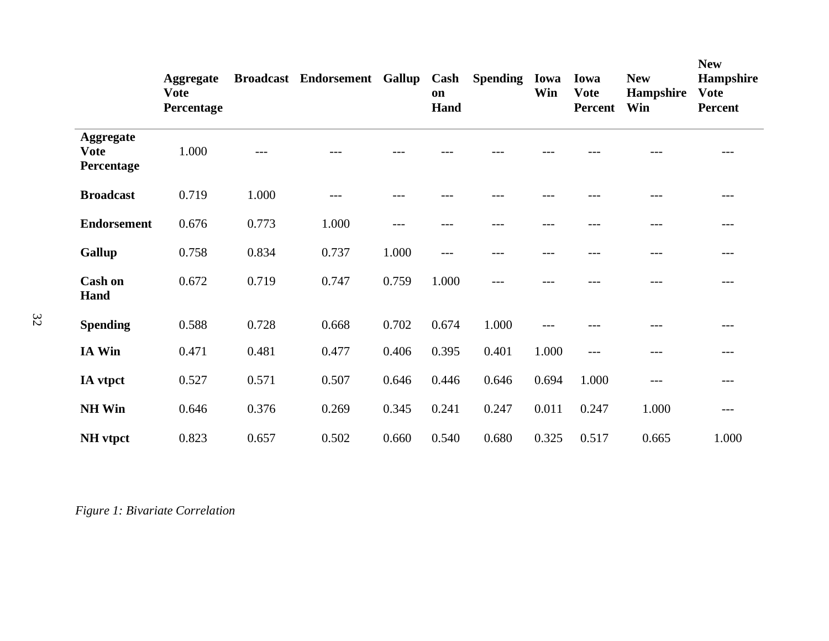|                                               | <b>Aggregate</b><br><b>Vote</b><br>Percentage |       | Broadcast Endorsement Gallup |       | Cash<br>on<br>Hand | <b>Spending</b> | Iowa<br>Win | Iowa<br><b>Vote</b><br><b>Percent</b> | <b>New</b><br>Hampshire<br>Win | <b>New</b><br>Hampshire<br><b>Vote</b><br><b>Percent</b> |
|-----------------------------------------------|-----------------------------------------------|-------|------------------------------|-------|--------------------|-----------------|-------------|---------------------------------------|--------------------------------|----------------------------------------------------------|
| <b>Aggregate</b><br><b>Vote</b><br>Percentage | 1.000                                         |       |                              |       |                    |                 |             |                                       |                                |                                                          |
| <b>Broadcast</b>                              | 0.719                                         | 1.000 | $---$                        |       |                    |                 |             |                                       |                                | $---$                                                    |
| <b>Endorsement</b>                            | 0.676                                         | 0.773 | 1.000                        | $---$ | ---                | ---             |             |                                       | ---                            | ---                                                      |
| <b>Gallup</b>                                 | 0.758                                         | 0.834 | 0.737                        | 1.000 | $---$              | ---             | ---         | ---                                   | ---                            | $---$                                                    |
| <b>Cash on</b><br>Hand                        | 0.672                                         | 0.719 | 0.747                        | 0.759 | 1.000              | ---             |             |                                       | ---                            | $---$                                                    |
| <b>Spending</b>                               | 0.588                                         | 0.728 | 0.668                        | 0.702 | 0.674              | 1.000           | ---         |                                       | ---                            | $---$                                                    |
| IA Win                                        | 0.471                                         | 0.481 | 0.477                        | 0.406 | 0.395              | 0.401           | 1.000       | $---$                                 | ---                            | $---$                                                    |
| IA vtpct                                      | 0.527                                         | 0.571 | 0.507                        | 0.646 | 0.446              | 0.646           | 0.694       | 1.000                                 | $---$                          | $---$                                                    |
| <b>NH Win</b>                                 | 0.646                                         | 0.376 | 0.269                        | 0.345 | 0.241              | 0.247           | 0.011       | 0.247                                 | 1.000                          | $---$                                                    |
| <b>NH</b> vtpct                               | 0.823                                         | 0.657 | 0.502                        | 0.660 | 0.540              | 0.680           | 0.325       | 0.517                                 | 0.665                          | 1.000                                                    |

*Figure 1: Bivariate Correlation*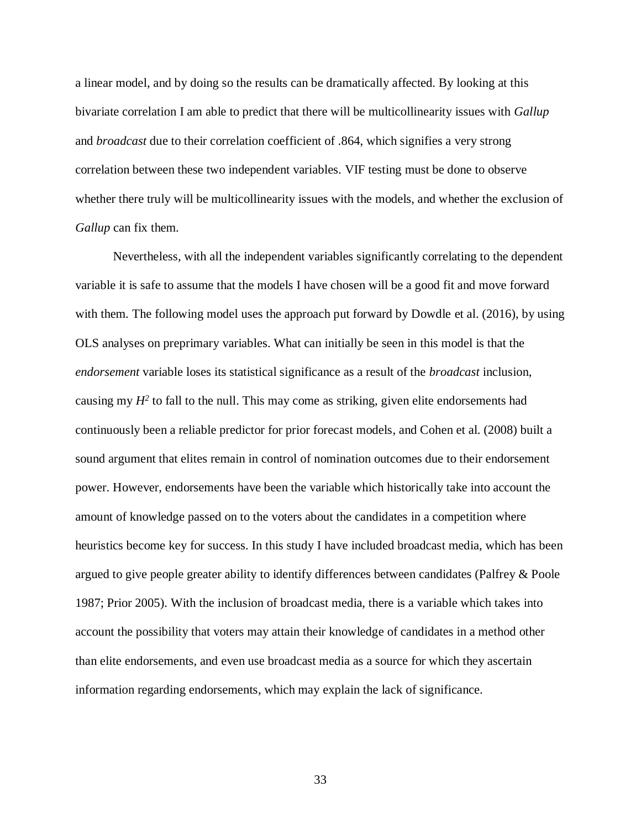a linear model, and by doing so the results can be dramatically affected. By looking at this bivariate correlation I am able to predict that there will be multicollinearity issues with *Gallup*  and *broadcast* due to their correlation coefficient of .864, which signifies a very strong correlation between these two independent variables. VIF testing must be done to observe whether there truly will be multicollinearity issues with the models, and whether the exclusion of *Gallup* can fix them.

Nevertheless, with all the independent variables significantly correlating to the dependent variable it is safe to assume that the models I have chosen will be a good fit and move forward with them. The following model uses the approach put forward by Dowdle et al. (2016), by using OLS analyses on preprimary variables. What can initially be seen in this model is that the *endorsement* variable loses its statistical significance as a result of the *broadcast* inclusion, causing my  $H^2$  to fall to the null. This may come as striking, given elite endorsements had continuously been a reliable predictor for prior forecast models, and Cohen et al. (2008) built a sound argument that elites remain in control of nomination outcomes due to their endorsement power. However, endorsements have been the variable which historically take into account the amount of knowledge passed on to the voters about the candidates in a competition where heuristics become key for success. In this study I have included broadcast media, which has been argued to give people greater ability to identify differences between candidates (Palfrey & Poole 1987; Prior 2005). With the inclusion of broadcast media, there is a variable which takes into account the possibility that voters may attain their knowledge of candidates in a method other than elite endorsements, and even use broadcast media as a source for which they ascertain information regarding endorsements, which may explain the lack of significance.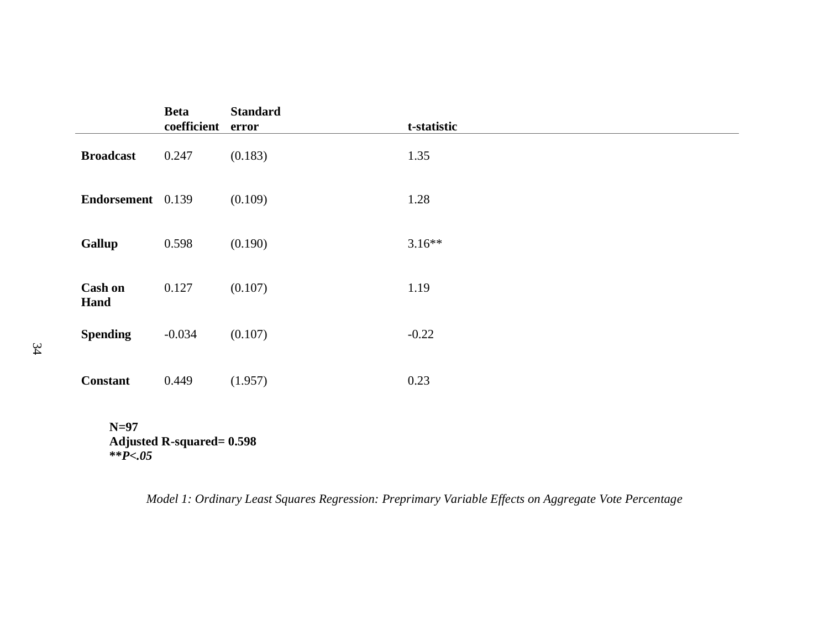|                        | <b>Beta</b><br>coefficient      | <b>Standard</b><br>error | t-statistic |  |  |
|------------------------|---------------------------------|--------------------------|-------------|--|--|
|                        |                                 |                          |             |  |  |
| <b>Broadcast</b>       | 0.247                           | (0.183)                  | 1.35        |  |  |
| Endorsement 0.139      |                                 | (0.109)                  | 1.28        |  |  |
| <b>Gallup</b>          | 0.598                           | (0.190)                  | $3.16**$    |  |  |
| <b>Cash on</b><br>Hand | 0.127                           | (0.107)                  | 1.19        |  |  |
| <b>Spending</b>        | $-0.034$                        | (0.107)                  | $-0.22$     |  |  |
| <b>Constant</b>        | 0.449                           | (1.957)                  | 0.23        |  |  |
| $N=97$                 | <b>Adjusted R-squared=0.598</b> |                          |             |  |  |

 **\*\****P<.05*

*Model 1: Ordinary Least Squares Regression: Preprimary Variable Effects on Aggregate Vote Percentage*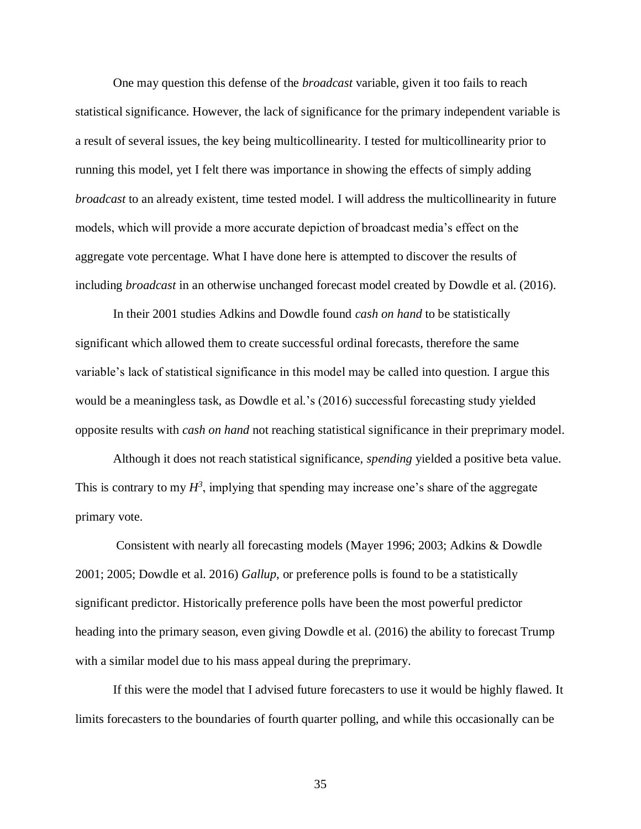One may question this defense of the *broadcast* variable, given it too fails to reach statistical significance. However, the lack of significance for the primary independent variable is a result of several issues, the key being multicollinearity. I tested for multicollinearity prior to running this model, yet I felt there was importance in showing the effects of simply adding *broadcast* to an already existent, time tested model. I will address the multicollinearity in future models, which will provide a more accurate depiction of broadcast media's effect on the aggregate vote percentage. What I have done here is attempted to discover the results of including *broadcast* in an otherwise unchanged forecast model created by Dowdle et al. (2016).

In their 2001 studies Adkins and Dowdle found *cash on hand* to be statistically significant which allowed them to create successful ordinal forecasts, therefore the same variable's lack of statistical significance in this model may be called into question. I argue this would be a meaningless task, as Dowdle et al.'s (2016) successful forecasting study yielded opposite results with *cash on hand* not reaching statistical significance in their preprimary model.

Although it does not reach statistical significance, *spending* yielded a positive beta value. This is contrary to my  $H^3$ , implying that spending may increase one's share of the aggregate primary vote.

Consistent with nearly all forecasting models (Mayer 1996; 2003; Adkins & Dowdle 2001; 2005; Dowdle et al. 2016) *Gallup*, or preference polls is found to be a statistically significant predictor. Historically preference polls have been the most powerful predictor heading into the primary season, even giving Dowdle et al. (2016) the ability to forecast Trump with a similar model due to his mass appeal during the preprimary.

If this were the model that I advised future forecasters to use it would be highly flawed. It limits forecasters to the boundaries of fourth quarter polling, and while this occasionally can be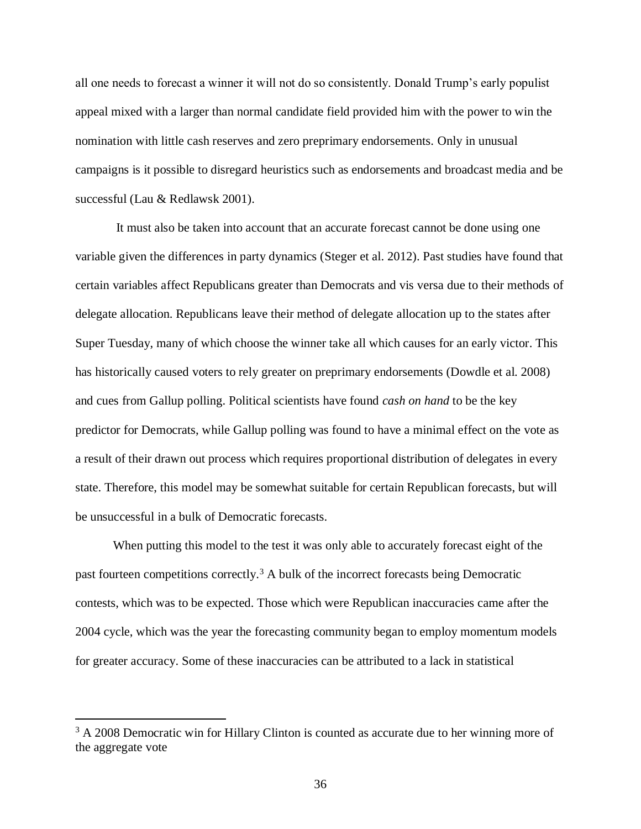all one needs to forecast a winner it will not do so consistently. Donald Trump's early populist appeal mixed with a larger than normal candidate field provided him with the power to win the nomination with little cash reserves and zero preprimary endorsements. Only in unusual campaigns is it possible to disregard heuristics such as endorsements and broadcast media and be successful (Lau & Redlawsk 2001).

It must also be taken into account that an accurate forecast cannot be done using one variable given the differences in party dynamics (Steger et al. 2012). Past studies have found that certain variables affect Republicans greater than Democrats and vis versa due to their methods of delegate allocation. Republicans leave their method of delegate allocation up to the states after Super Tuesday, many of which choose the winner take all which causes for an early victor. This has historically caused voters to rely greater on preprimary endorsements (Dowdle et al. 2008) and cues from Gallup polling. Political scientists have found *cash on hand* to be the key predictor for Democrats, while Gallup polling was found to have a minimal effect on the vote as a result of their drawn out process which requires proportional distribution of delegates in every state. Therefore, this model may be somewhat suitable for certain Republican forecasts, but will be unsuccessful in a bulk of Democratic forecasts.

When putting this model to the test it was only able to accurately forecast eight of the past fourteen competitions correctly.<sup>3</sup> A bulk of the incorrect forecasts being Democratic contests, which was to be expected. Those which were Republican inaccuracies came after the 2004 cycle, which was the year the forecasting community began to employ momentum models for greater accuracy. Some of these inaccuracies can be attributed to a lack in statistical

 $\overline{a}$ 

<sup>&</sup>lt;sup>3</sup> A 2008 Democratic win for Hillary Clinton is counted as accurate due to her winning more of the aggregate vote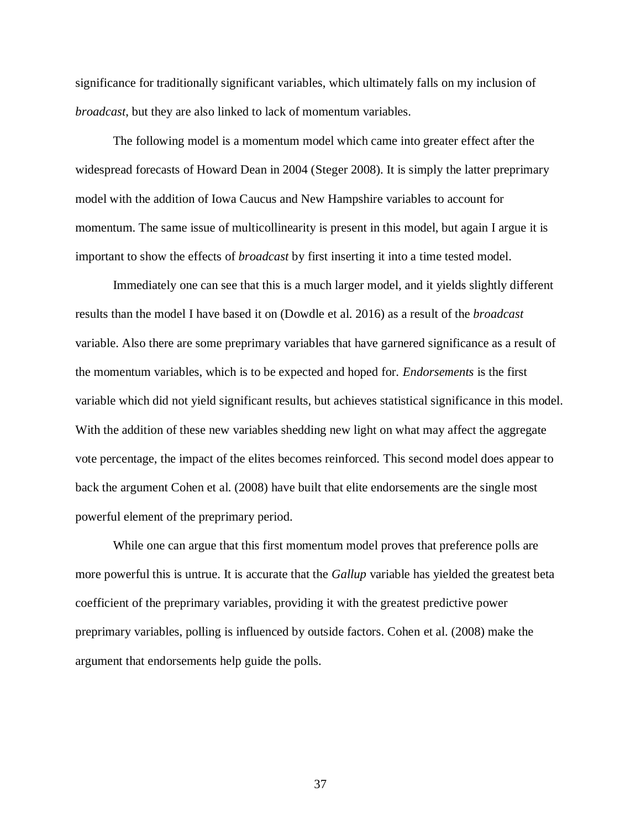significance for traditionally significant variables, which ultimately falls on my inclusion of *broadcast*, but they are also linked to lack of momentum variables.

The following model is a momentum model which came into greater effect after the widespread forecasts of Howard Dean in 2004 (Steger 2008). It is simply the latter preprimary model with the addition of Iowa Caucus and New Hampshire variables to account for momentum. The same issue of multicollinearity is present in this model, but again I argue it is important to show the effects of *broadcast* by first inserting it into a time tested model.

Immediately one can see that this is a much larger model, and it yields slightly different results than the model I have based it on (Dowdle et al. 2016) as a result of the *broadcast*  variable. Also there are some preprimary variables that have garnered significance as a result of the momentum variables, which is to be expected and hoped for. *Endorsements* is the first variable which did not yield significant results, but achieves statistical significance in this model. With the addition of these new variables shedding new light on what may affect the aggregate vote percentage, the impact of the elites becomes reinforced. This second model does appear to back the argument Cohen et al. (2008) have built that elite endorsements are the single most powerful element of the preprimary period.

While one can argue that this first momentum model proves that preference polls are more powerful this is untrue. It is accurate that the *Gallup* variable has yielded the greatest beta coefficient of the preprimary variables, providing it with the greatest predictive power preprimary variables, polling is influenced by outside factors. Cohen et al. (2008) make the argument that endorsements help guide the polls.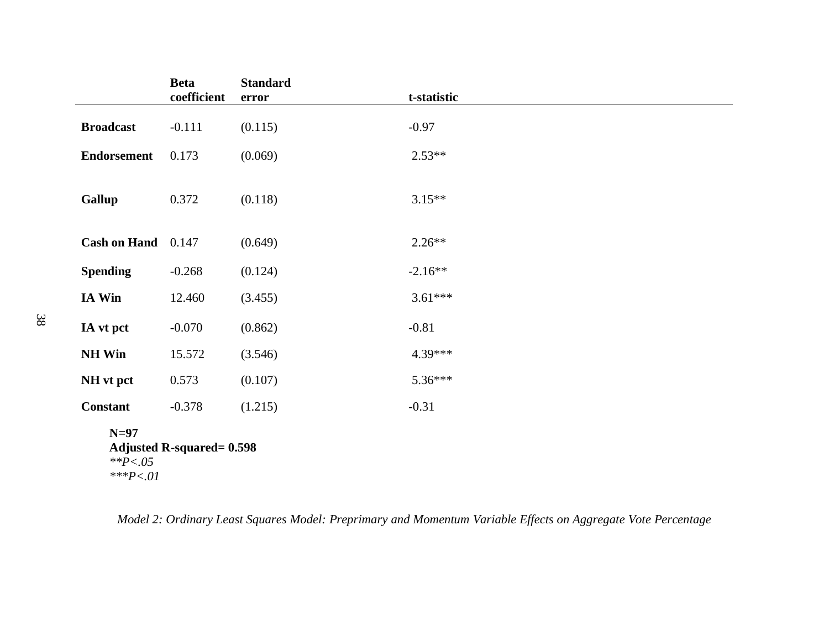|                                                            | <b>Beta</b><br>coefficient | <b>Standard</b><br>error | t-statistic |  |
|------------------------------------------------------------|----------------------------|--------------------------|-------------|--|
| <b>Broadcast</b>                                           | $-0.111$                   | (0.115)                  | $-0.97$     |  |
| <b>Endorsement</b>                                         | 0.173                      | (0.069)                  | $2.53**$    |  |
| <b>Gallup</b>                                              | 0.372                      | (0.118)                  | $3.15**$    |  |
| Cash on Hand 0.147                                         |                            | (0.649)                  | $2.26**$    |  |
| <b>Spending</b>                                            | $-0.268$                   | (0.124)                  | $-2.16**$   |  |
| IA Win                                                     | 12.460                     | (3.455)                  | $3.61***$   |  |
| IA vt pct                                                  | $-0.070$                   | (0.862)                  | $-0.81$     |  |
| <b>NH Win</b>                                              | 15.572                     | (3.546)                  | $4.39***$   |  |
| NH vt pct                                                  | 0.573                      | (0.107)                  | 5.36***     |  |
| <b>Constant</b>                                            | $-0.378$                   | (1.215)                  | $-0.31$     |  |
| $N=97$<br><b>Adjusted R-squared=0.598</b><br>** $P < 0.05$ |                            |                          |             |  |

 *\*\*\*P<.01*

*Model 2: Ordinary Least Squares Model: Preprimary and Momentum Variable Effects on Aggregate Vote Percentage*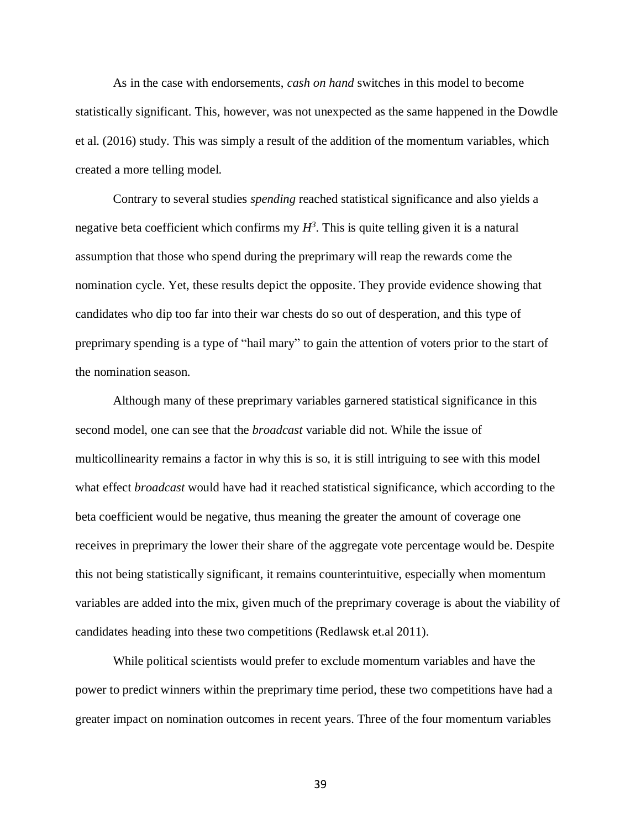As in the case with endorsements, *cash on hand* switches in this model to become statistically significant. This, however, was not unexpected as the same happened in the Dowdle et al. (2016) study. This was simply a result of the addition of the momentum variables, which created a more telling model.

Contrary to several studies *spending* reached statistical significance and also yields a negative beta coefficient which confirms my  $H^3$ . This is quite telling given it is a natural assumption that those who spend during the preprimary will reap the rewards come the nomination cycle. Yet, these results depict the opposite. They provide evidence showing that candidates who dip too far into their war chests do so out of desperation, and this type of preprimary spending is a type of "hail mary" to gain the attention of voters prior to the start of the nomination season.

Although many of these preprimary variables garnered statistical significance in this second model, one can see that the *broadcast* variable did not. While the issue of multicollinearity remains a factor in why this is so, it is still intriguing to see with this model what effect *broadcast* would have had it reached statistical significance, which according to the beta coefficient would be negative, thus meaning the greater the amount of coverage one receives in preprimary the lower their share of the aggregate vote percentage would be. Despite this not being statistically significant, it remains counterintuitive, especially when momentum variables are added into the mix, given much of the preprimary coverage is about the viability of candidates heading into these two competitions (Redlawsk et.al 2011).

While political scientists would prefer to exclude momentum variables and have the power to predict winners within the preprimary time period, these two competitions have had a greater impact on nomination outcomes in recent years. Three of the four momentum variables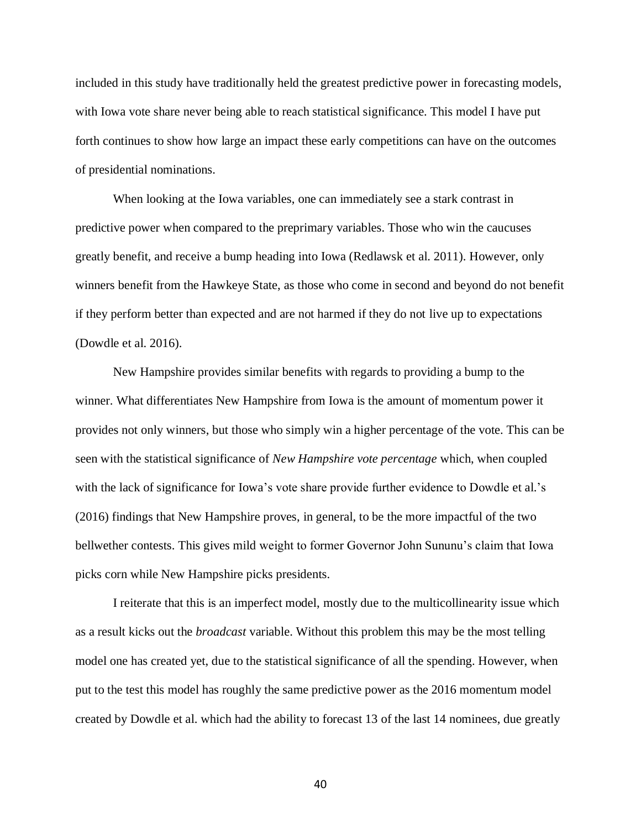included in this study have traditionally held the greatest predictive power in forecasting models, with Iowa vote share never being able to reach statistical significance. This model I have put forth continues to show how large an impact these early competitions can have on the outcomes of presidential nominations.

When looking at the Iowa variables, one can immediately see a stark contrast in predictive power when compared to the preprimary variables. Those who win the caucuses greatly benefit, and receive a bump heading into Iowa (Redlawsk et al. 2011). However, only winners benefit from the Hawkeye State, as those who come in second and beyond do not benefit if they perform better than expected and are not harmed if they do not live up to expectations (Dowdle et al. 2016).

New Hampshire provides similar benefits with regards to providing a bump to the winner. What differentiates New Hampshire from Iowa is the amount of momentum power it provides not only winners, but those who simply win a higher percentage of the vote. This can be seen with the statistical significance of *New Hampshire vote percentage* which, when coupled with the lack of significance for Iowa's vote share provide further evidence to Dowdle et al.'s (2016) findings that New Hampshire proves, in general, to be the more impactful of the two bellwether contests. This gives mild weight to former Governor John Sununu's claim that Iowa picks corn while New Hampshire picks presidents.

I reiterate that this is an imperfect model, mostly due to the multicollinearity issue which as a result kicks out the *broadcast* variable. Without this problem this may be the most telling model one has created yet, due to the statistical significance of all the spending. However, when put to the test this model has roughly the same predictive power as the 2016 momentum model created by Dowdle et al. which had the ability to forecast 13 of the last 14 nominees, due greatly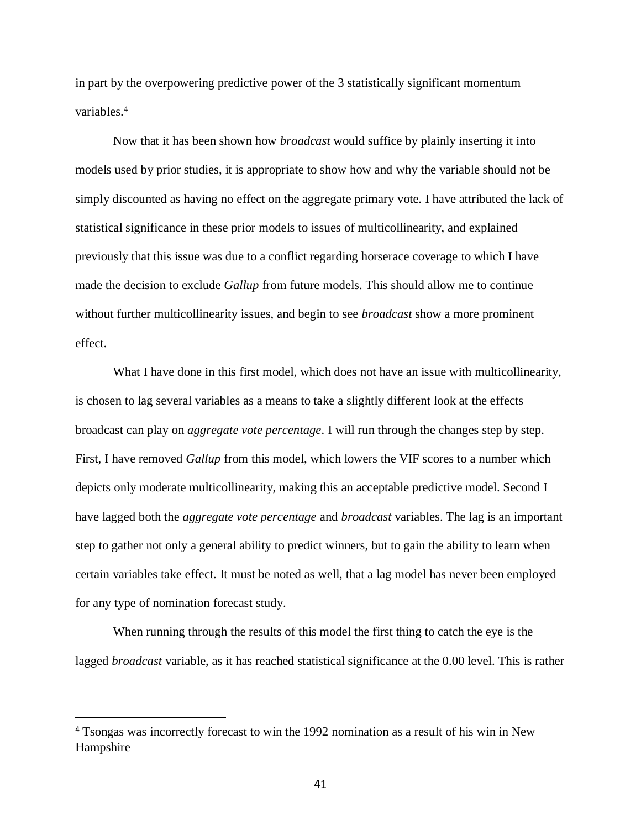in part by the overpowering predictive power of the 3 statistically significant momentum variables.<sup>4</sup>

Now that it has been shown how *broadcast* would suffice by plainly inserting it into models used by prior studies, it is appropriate to show how and why the variable should not be simply discounted as having no effect on the aggregate primary vote. I have attributed the lack of statistical significance in these prior models to issues of multicollinearity, and explained previously that this issue was due to a conflict regarding horserace coverage to which I have made the decision to exclude *Gallup* from future models. This should allow me to continue without further multicollinearity issues, and begin to see *broadcast* show a more prominent effect.

What I have done in this first model, which does not have an issue with multicollinearity, is chosen to lag several variables as a means to take a slightly different look at the effects broadcast can play on *aggregate vote percentage*. I will run through the changes step by step. First, I have removed *Gallup* from this model, which lowers the VIF scores to a number which depicts only moderate multicollinearity, making this an acceptable predictive model. Second I have lagged both the *aggregate vote percentage* and *broadcast* variables. The lag is an important step to gather not only a general ability to predict winners, but to gain the ability to learn when certain variables take effect. It must be noted as well, that a lag model has never been employed for any type of nomination forecast study.

When running through the results of this model the first thing to catch the eye is the lagged *broadcast* variable, as it has reached statistical significance at the 0.00 level. This is rather

 $\overline{a}$ 

<sup>4</sup> Tsongas was incorrectly forecast to win the 1992 nomination as a result of his win in New Hampshire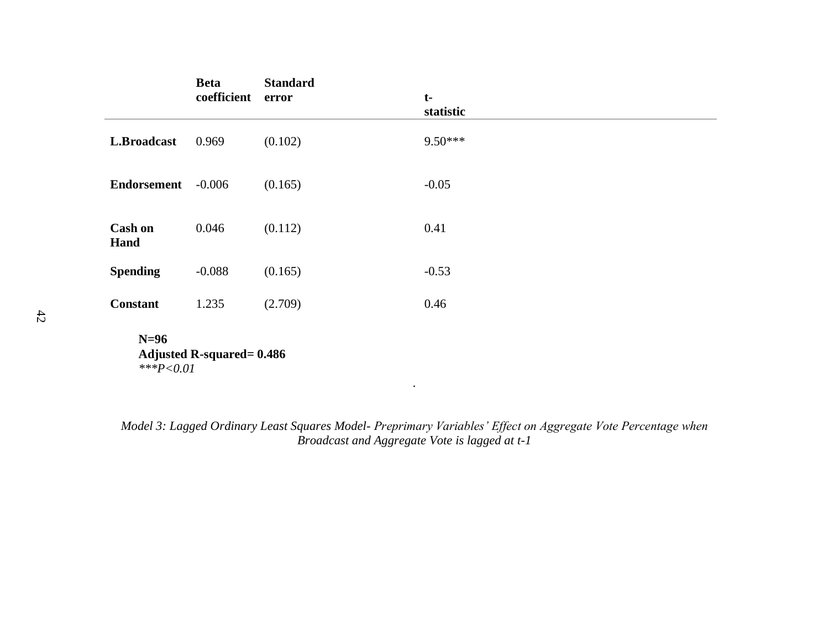|                        | <b>Beta</b><br>coefficient | <b>Standard</b><br>error | $t-$<br>statistic |
|------------------------|----------------------------|--------------------------|-------------------|
| L.Broadcast            | 0.969                      | (0.102)                  | $9.50***$         |
| <b>Endorsement</b>     | $-0.006$                   | (0.165)                  | $-0.05$           |
| <b>Cash on</b><br>Hand | 0.046                      | (0.112)                  | 0.41              |
| <b>Spending</b>        | $-0.088$                   | (0.165)                  | $-0.53$           |
| <b>Constant</b>        | 1.235                      | (2.709)                  | 0.46              |
|                        |                            |                          |                   |

 **N=96 Adjusted R-squared= 0.486**  *\*\*\*P<0.01*

*Model 3: Lagged Ordinary Least Squares Model- Preprimary Variables' Effect on Aggregate Vote Percentage when Broadcast and Aggregate Vote is lagged at t-1*

*.*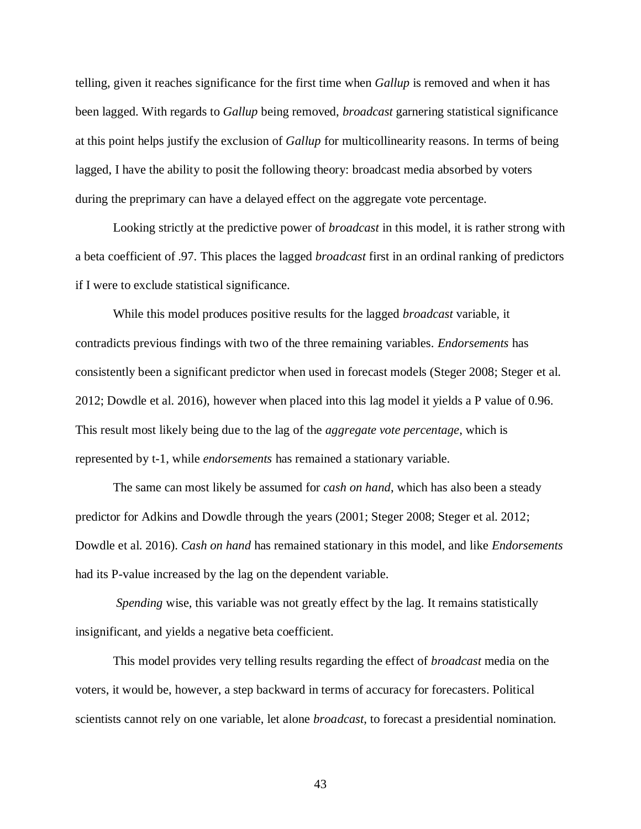telling, given it reaches significance for the first time when *Gallup* is removed and when it has been lagged. With regards to *Gallup* being removed, *broadcast* garnering statistical significance at this point helps justify the exclusion of *Gallup* for multicollinearity reasons. In terms of being lagged, I have the ability to posit the following theory: broadcast media absorbed by voters during the preprimary can have a delayed effect on the aggregate vote percentage.

Looking strictly at the predictive power of *broadcast* in this model, it is rather strong with a beta coefficient of .97. This places the lagged *broadcast* first in an ordinal ranking of predictors if I were to exclude statistical significance.

While this model produces positive results for the lagged *broadcast* variable, it contradicts previous findings with two of the three remaining variables. *Endorsements* has consistently been a significant predictor when used in forecast models (Steger 2008; Steger et al. 2012; Dowdle et al. 2016), however when placed into this lag model it yields a P value of 0.96. This result most likely being due to the lag of the *aggregate vote percentage*, which is represented by t-1, while *endorsements* has remained a stationary variable.

The same can most likely be assumed for *cash on hand*, which has also been a steady predictor for Adkins and Dowdle through the years (2001; Steger 2008; Steger et al. 2012; Dowdle et al. 2016). *Cash on hand* has remained stationary in this model, and like *Endorsements*  had its P-value increased by the lag on the dependent variable.

*Spending* wise, this variable was not greatly effect by the lag. It remains statistically insignificant, and yields a negative beta coefficient.

This model provides very telling results regarding the effect of *broadcast* media on the voters, it would be, however, a step backward in terms of accuracy for forecasters. Political scientists cannot rely on one variable, let alone *broadcast*, to forecast a presidential nomination.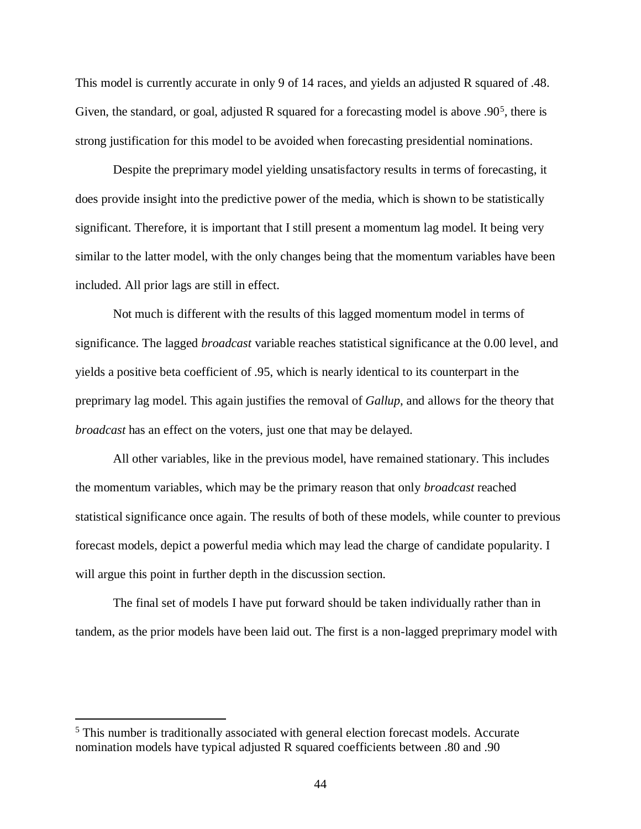This model is currently accurate in only 9 of 14 races, and yields an adjusted R squared of .48. Given, the standard, or goal, adjusted R squared for a forecasting model is above  $.90<sup>5</sup>$ , there is strong justification for this model to be avoided when forecasting presidential nominations.

Despite the preprimary model yielding unsatisfactory results in terms of forecasting, it does provide insight into the predictive power of the media, which is shown to be statistically significant. Therefore, it is important that I still present a momentum lag model. It being very similar to the latter model, with the only changes being that the momentum variables have been included. All prior lags are still in effect.

Not much is different with the results of this lagged momentum model in terms of significance. The lagged *broadcast* variable reaches statistical significance at the 0.00 level, and yields a positive beta coefficient of .95, which is nearly identical to its counterpart in the preprimary lag model. This again justifies the removal of *Gallup*, and allows for the theory that *broadcast* has an effect on the voters, just one that may be delayed.

All other variables, like in the previous model, have remained stationary. This includes the momentum variables, which may be the primary reason that only *broadcast* reached statistical significance once again. The results of both of these models, while counter to previous forecast models, depict a powerful media which may lead the charge of candidate popularity. I will argue this point in further depth in the discussion section.

The final set of models I have put forward should be taken individually rather than in tandem, as the prior models have been laid out. The first is a non-lagged preprimary model with

 $\overline{a}$ 

<sup>5</sup> This number is traditionally associated with general election forecast models. Accurate nomination models have typical adjusted R squared coefficients between .80 and .90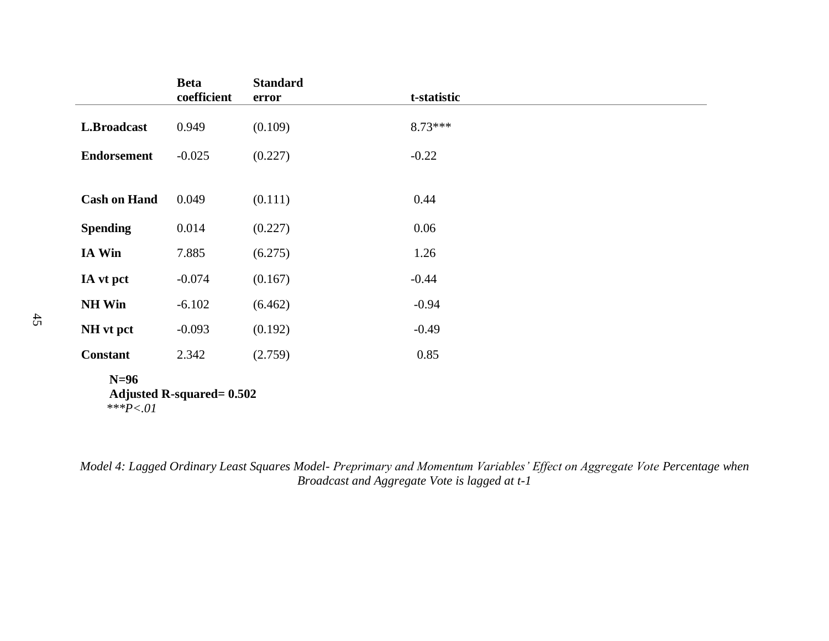|                                           | <b>Beta</b><br>coefficient | <b>Standard</b> | t-statistic |  |
|-------------------------------------------|----------------------------|-----------------|-------------|--|
|                                           |                            | error           |             |  |
| L.Broadcast                               | 0.949                      | (0.109)         | $8.73***$   |  |
| <b>Endorsement</b>                        | $-0.025$                   | (0.227)         | $-0.22$     |  |
|                                           |                            |                 |             |  |
| <b>Cash on Hand</b>                       | 0.049                      | (0.111)         | 0.44        |  |
| <b>Spending</b>                           | 0.014                      | (0.227)         | 0.06        |  |
| IA Win                                    | 7.885                      | (6.275)         | 1.26        |  |
| IA vt pct                                 | $-0.074$                   | (0.167)         | $-0.44$     |  |
| <b>NH Win</b>                             | $-6.102$                   | (6.462)         | $-0.94$     |  |
| NH vt pct                                 | $-0.093$                   | (0.192)         | $-0.49$     |  |
| <b>Constant</b>                           | 2.342                      | (2.759)         | 0.85        |  |
| $N=96$<br><b>Adjusted R-squared=0.502</b> |                            |                 |             |  |

 *\*\*\*P<.01*

*Model 4: Lagged Ordinary Least Squares Model- Preprimary and Momentum Variables' Effect on Aggregate Vote Percentage when Broadcast and Aggregate Vote is lagged at t-1*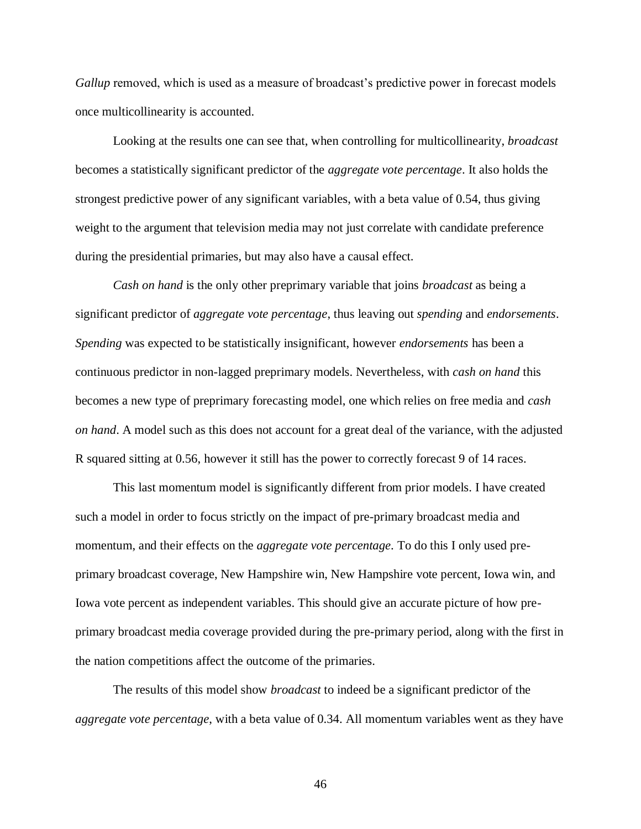*Gallup* removed, which is used as a measure of broadcast's predictive power in forecast models once multicollinearity is accounted.

Looking at the results one can see that, when controlling for multicollinearity, *broadcast* becomes a statistically significant predictor of the *aggregate vote percentage*. It also holds the strongest predictive power of any significant variables, with a beta value of 0.54, thus giving weight to the argument that television media may not just correlate with candidate preference during the presidential primaries, but may also have a causal effect.

*Cash on hand* is the only other preprimary variable that joins *broadcast* as being a significant predictor of *aggregate vote percentage*, thus leaving out *spending* and *endorsements*. *Spending* was expected to be statistically insignificant, however *endorsements* has been a continuous predictor in non-lagged preprimary models. Nevertheless, with *cash on hand* this becomes a new type of preprimary forecasting model, one which relies on free media and *cash on hand*. A model such as this does not account for a great deal of the variance, with the adjusted R squared sitting at 0.56, however it still has the power to correctly forecast 9 of 14 races.

This last momentum model is significantly different from prior models. I have created such a model in order to focus strictly on the impact of pre-primary broadcast media and momentum, and their effects on the *aggregate vote percentage*. To do this I only used preprimary broadcast coverage, New Hampshire win, New Hampshire vote percent, Iowa win, and Iowa vote percent as independent variables. This should give an accurate picture of how preprimary broadcast media coverage provided during the pre-primary period, along with the first in the nation competitions affect the outcome of the primaries.

The results of this model show *broadcast* to indeed be a significant predictor of the *aggregate vote percentage*, with a beta value of 0.34. All momentum variables went as they have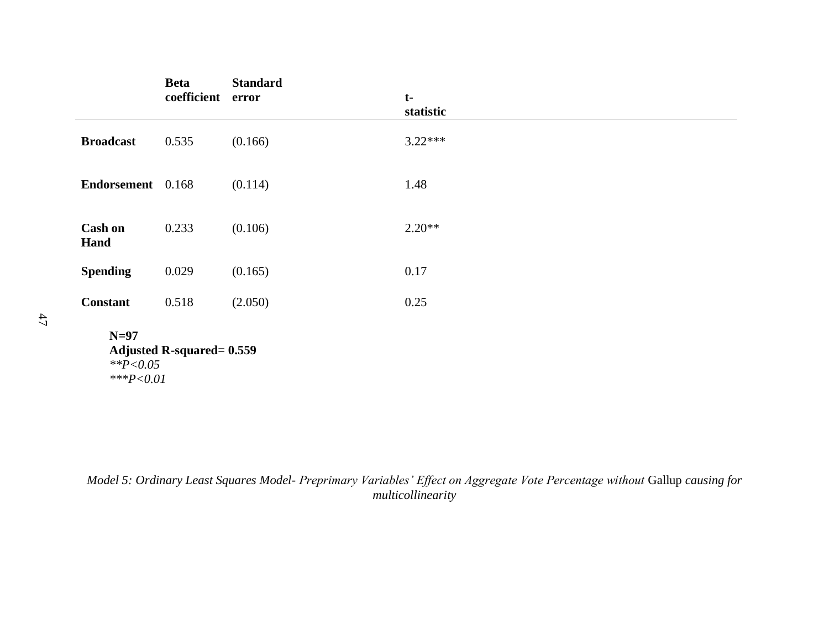|                                                             | <b>Beta</b><br>coefficient | <b>Standard</b><br>error | $t-$<br>statistic |  |
|-------------------------------------------------------------|----------------------------|--------------------------|-------------------|--|
| <b>Broadcast</b>                                            | 0.535                      | (0.166)                  | $3.22***$         |  |
| Endorsement 0.168                                           |                            | (0.114)                  | 1.48              |  |
| <b>Cash on</b><br>Hand                                      | 0.233                      | (0.106)                  | $2.20**$          |  |
| <b>Spending</b>                                             | 0.029                      | (0.165)                  | 0.17              |  |
| <b>Constant</b>                                             | 0.518                      | (2.050)                  | 0.25              |  |
| $N=97$<br><b>Adjusted R-squared=0.559</b><br>$*$ $P < 0.05$ |                            |                          |                   |  |

 *\*\*\*P<0.01*

*Model 5: Ordinary Least Squares Model- Preprimary Variables' Effect on Aggregate Vote Percentage without* Gallup *causing for multicollinearity*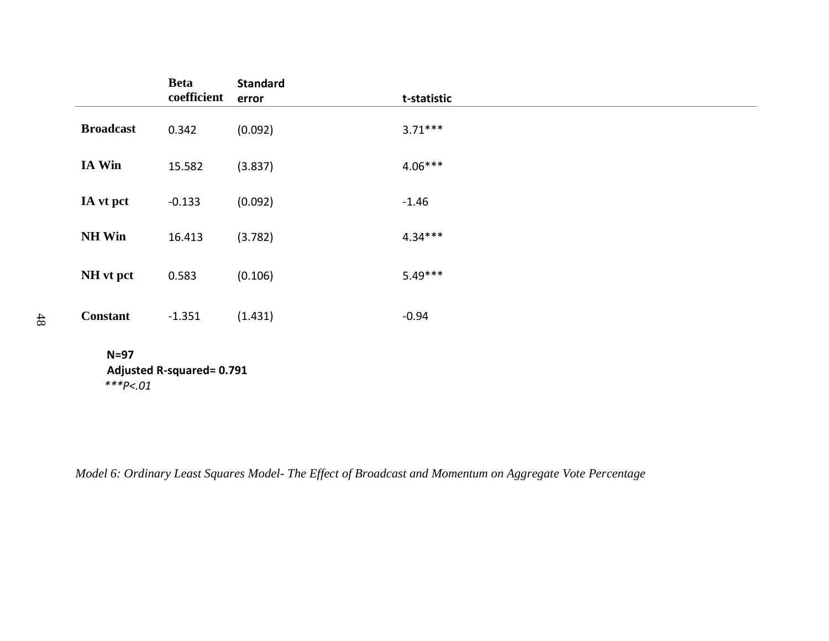|                  | <b>Beta</b><br>coefficient | <b>Standard</b><br>error | t-statistic |
|------------------|----------------------------|--------------------------|-------------|
| <b>Broadcast</b> | 0.342                      | (0.092)                  | $3.71***$   |
| IA Win           | 15.582                     | (3.837)                  | $4.06***$   |
| IA vt pct        | $-0.133$                   | (0.092)                  | $-1.46$     |
| <b>NH Win</b>    | 16.413                     | (3.782)                  | $4.34***$   |
| NH vt pct        | 0.583                      | (0.106)                  | $5.49***$   |
| <b>Constant</b>  | $-1.351$                   | (1.431)                  | $-0.94$     |

 **N=97 Adjusted R-squared= 0.791**  *\*\*\*P<.01*

*Model 6: Ordinary Least Squares Model- The Effect of Broadcast and Momentum on Aggregate Vote Percentage*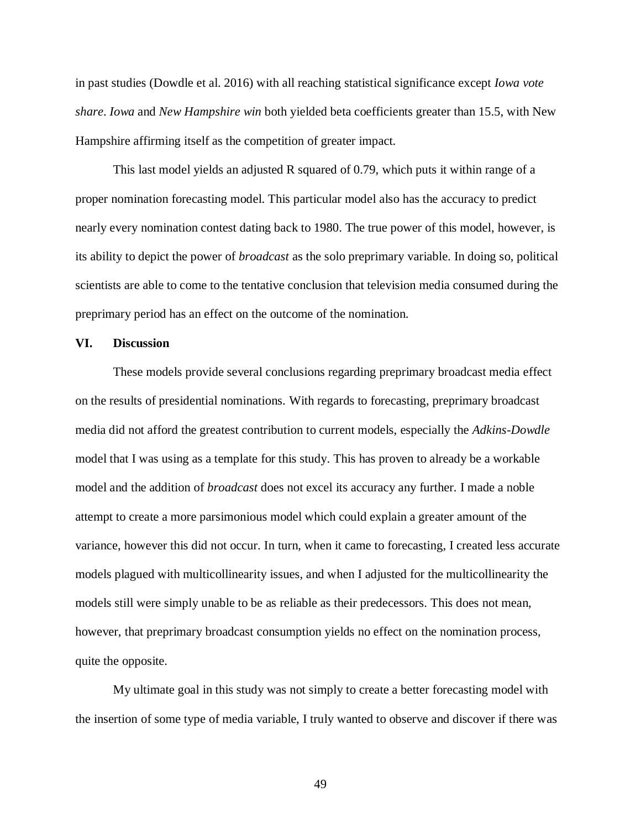in past studies (Dowdle et al. 2016) with all reaching statistical significance except *Iowa vote share*. *Iowa* and *New Hampshire win* both yielded beta coefficients greater than 15.5, with New Hampshire affirming itself as the competition of greater impact.

This last model yields an adjusted R squared of 0.79, which puts it within range of a proper nomination forecasting model. This particular model also has the accuracy to predict nearly every nomination contest dating back to 1980. The true power of this model, however, is its ability to depict the power of *broadcast* as the solo preprimary variable. In doing so, political scientists are able to come to the tentative conclusion that television media consumed during the preprimary period has an effect on the outcome of the nomination.

# **VI. Discussion**

These models provide several conclusions regarding preprimary broadcast media effect on the results of presidential nominations. With regards to forecasting, preprimary broadcast media did not afford the greatest contribution to current models, especially the *Adkins-Dowdle* model that I was using as a template for this study. This has proven to already be a workable model and the addition of *broadcast* does not excel its accuracy any further. I made a noble attempt to create a more parsimonious model which could explain a greater amount of the variance, however this did not occur. In turn, when it came to forecasting, I created less accurate models plagued with multicollinearity issues, and when I adjusted for the multicollinearity the models still were simply unable to be as reliable as their predecessors. This does not mean, however, that preprimary broadcast consumption yields no effect on the nomination process, quite the opposite.

My ultimate goal in this study was not simply to create a better forecasting model with the insertion of some type of media variable, I truly wanted to observe and discover if there was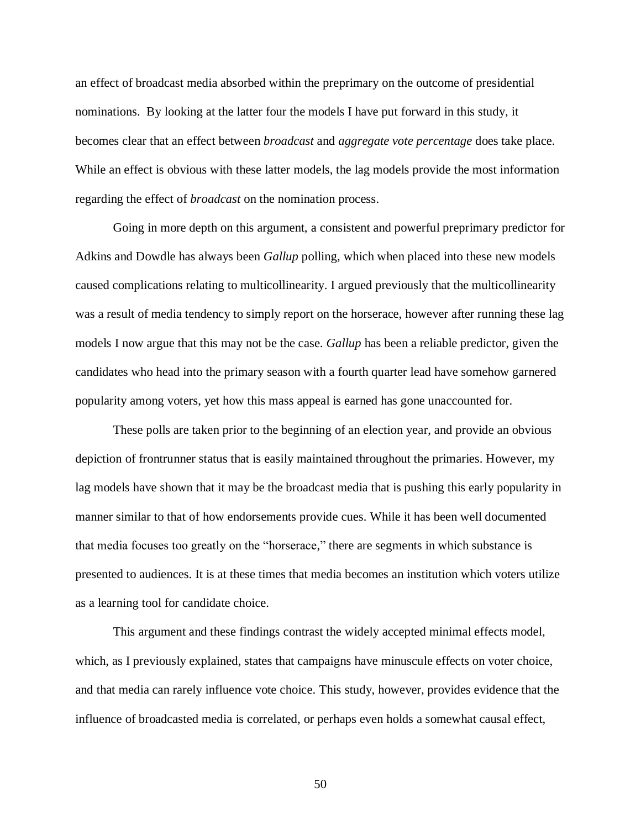an effect of broadcast media absorbed within the preprimary on the outcome of presidential nominations. By looking at the latter four the models I have put forward in this study, it becomes clear that an effect between *broadcast* and *aggregate vote percentage* does take place. While an effect is obvious with these latter models, the lag models provide the most information regarding the effect of *broadcast* on the nomination process.

Going in more depth on this argument, a consistent and powerful preprimary predictor for Adkins and Dowdle has always been *Gallup* polling, which when placed into these new models caused complications relating to multicollinearity. I argued previously that the multicollinearity was a result of media tendency to simply report on the horserace, however after running these lag models I now argue that this may not be the case. *Gallup* has been a reliable predictor, given the candidates who head into the primary season with a fourth quarter lead have somehow garnered popularity among voters, yet how this mass appeal is earned has gone unaccounted for.

These polls are taken prior to the beginning of an election year, and provide an obvious depiction of frontrunner status that is easily maintained throughout the primaries. However, my lag models have shown that it may be the broadcast media that is pushing this early popularity in manner similar to that of how endorsements provide cues. While it has been well documented that media focuses too greatly on the "horserace," there are segments in which substance is presented to audiences. It is at these times that media becomes an institution which voters utilize as a learning tool for candidate choice.

This argument and these findings contrast the widely accepted minimal effects model, which, as I previously explained, states that campaigns have minuscule effects on voter choice, and that media can rarely influence vote choice. This study, however, provides evidence that the influence of broadcasted media is correlated, or perhaps even holds a somewhat causal effect,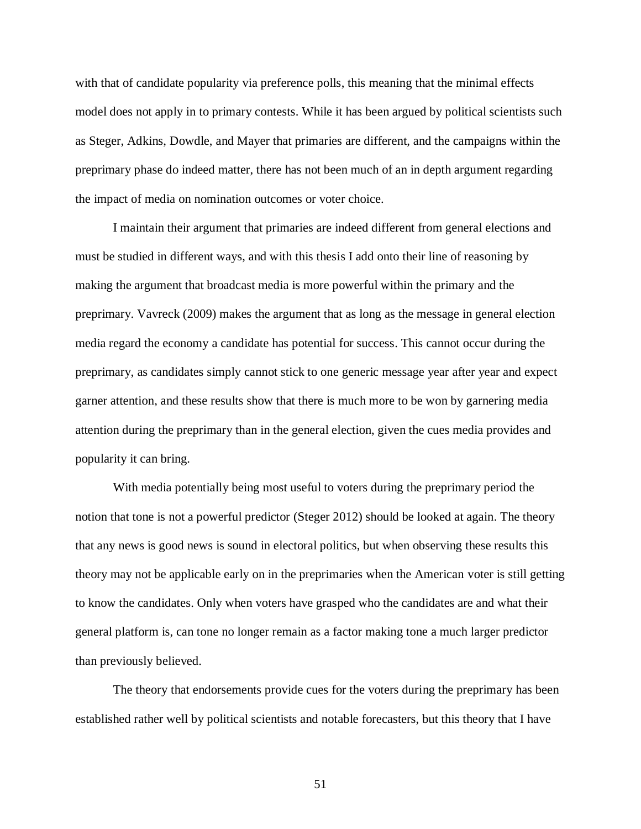with that of candidate popularity via preference polls, this meaning that the minimal effects model does not apply in to primary contests. While it has been argued by political scientists such as Steger, Adkins, Dowdle, and Mayer that primaries are different, and the campaigns within the preprimary phase do indeed matter, there has not been much of an in depth argument regarding the impact of media on nomination outcomes or voter choice.

I maintain their argument that primaries are indeed different from general elections and must be studied in different ways, and with this thesis I add onto their line of reasoning by making the argument that broadcast media is more powerful within the primary and the preprimary. Vavreck (2009) makes the argument that as long as the message in general election media regard the economy a candidate has potential for success. This cannot occur during the preprimary, as candidates simply cannot stick to one generic message year after year and expect garner attention, and these results show that there is much more to be won by garnering media attention during the preprimary than in the general election, given the cues media provides and popularity it can bring.

With media potentially being most useful to voters during the preprimary period the notion that tone is not a powerful predictor (Steger 2012) should be looked at again. The theory that any news is good news is sound in electoral politics, but when observing these results this theory may not be applicable early on in the preprimaries when the American voter is still getting to know the candidates. Only when voters have grasped who the candidates are and what their general platform is, can tone no longer remain as a factor making tone a much larger predictor than previously believed.

The theory that endorsements provide cues for the voters during the preprimary has been established rather well by political scientists and notable forecasters, but this theory that I have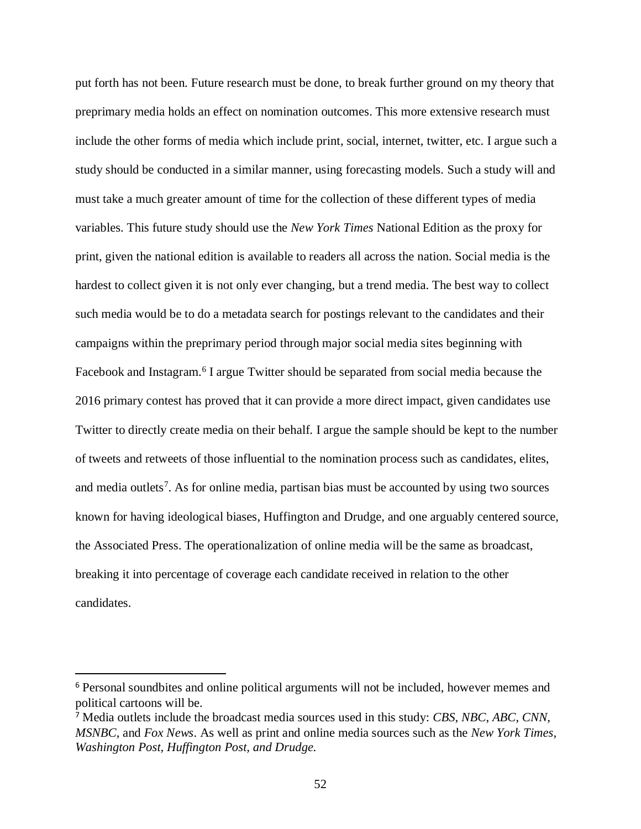put forth has not been. Future research must be done, to break further ground on my theory that preprimary media holds an effect on nomination outcomes. This more extensive research must include the other forms of media which include print, social, internet, twitter, etc. I argue such a study should be conducted in a similar manner, using forecasting models. Such a study will and must take a much greater amount of time for the collection of these different types of media variables. This future study should use the *New York Times* National Edition as the proxy for print, given the national edition is available to readers all across the nation. Social media is the hardest to collect given it is not only ever changing, but a trend media. The best way to collect such media would be to do a metadata search for postings relevant to the candidates and their campaigns within the preprimary period through major social media sites beginning with Facebook and Instagram.<sup>6</sup> I argue Twitter should be separated from social media because the 2016 primary contest has proved that it can provide a more direct impact, given candidates use Twitter to directly create media on their behalf. I argue the sample should be kept to the number of tweets and retweets of those influential to the nomination process such as candidates, elites, and media outlets<sup>7</sup>. As for online media, partisan bias must be accounted by using two sources known for having ideological biases, Huffington and Drudge, and one arguably centered source, the Associated Press. The operationalization of online media will be the same as broadcast, breaking it into percentage of coverage each candidate received in relation to the other candidates.

 $\overline{a}$ 

<sup>6</sup> Personal soundbites and online political arguments will not be included, however memes and political cartoons will be.

<sup>7</sup> Media outlets include the broadcast media sources used in this study: *CBS*, *NBC*, *ABC*, *CNN*, *MSNBC*, and *Fox News*. As well as print and online media sources such as the *New York Times, Washington Post, Huffington Post, and Drudge.*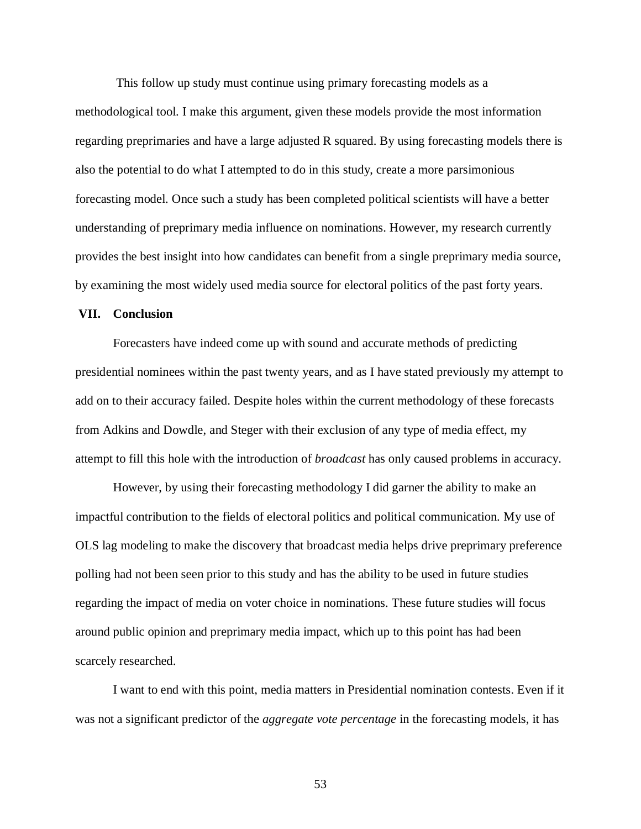This follow up study must continue using primary forecasting models as a methodological tool. I make this argument, given these models provide the most information regarding preprimaries and have a large adjusted R squared. By using forecasting models there is also the potential to do what I attempted to do in this study, create a more parsimonious forecasting model. Once such a study has been completed political scientists will have a better understanding of preprimary media influence on nominations. However, my research currently provides the best insight into how candidates can benefit from a single preprimary media source, by examining the most widely used media source for electoral politics of the past forty years.

# **VII. Conclusion**

Forecasters have indeed come up with sound and accurate methods of predicting presidential nominees within the past twenty years, and as I have stated previously my attempt to add on to their accuracy failed. Despite holes within the current methodology of these forecasts from Adkins and Dowdle, and Steger with their exclusion of any type of media effect, my attempt to fill this hole with the introduction of *broadcast* has only caused problems in accuracy.

However, by using their forecasting methodology I did garner the ability to make an impactful contribution to the fields of electoral politics and political communication. My use of OLS lag modeling to make the discovery that broadcast media helps drive preprimary preference polling had not been seen prior to this study and has the ability to be used in future studies regarding the impact of media on voter choice in nominations. These future studies will focus around public opinion and preprimary media impact, which up to this point has had been scarcely researched.

I want to end with this point, media matters in Presidential nomination contests. Even if it was not a significant predictor of the *aggregate vote percentage* in the forecasting models, it has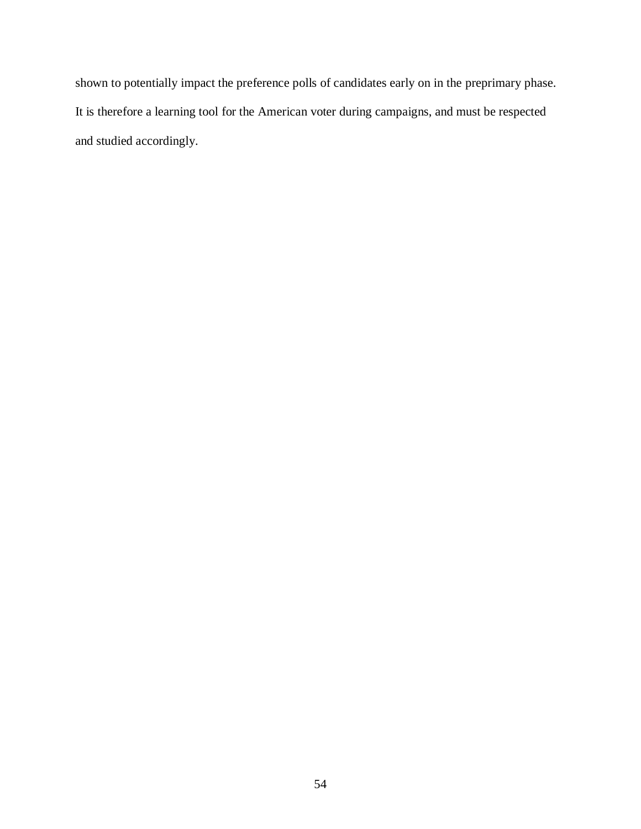shown to potentially impact the preference polls of candidates early on in the preprimary phase. It is therefore a learning tool for the American voter during campaigns, and must be respected and studied accordingly.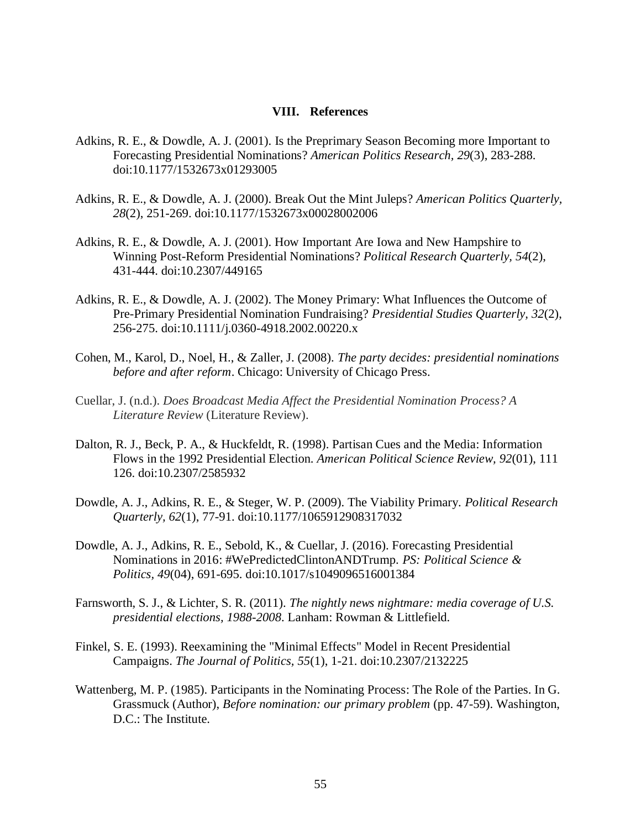# **VIII. References**

- Adkins, R. E., & Dowdle, A. J. (2001). Is the Preprimary Season Becoming more Important to Forecasting Presidential Nominations? *American Politics Research, 29*(3), 283-288. doi:10.1177/1532673x01293005
- Adkins, R. E., & Dowdle, A. J. (2000). Break Out the Mint Juleps? *American Politics Quarterly, 28*(2), 251-269. doi:10.1177/1532673x00028002006
- Adkins, R. E., & Dowdle, A. J. (2001). How Important Are Iowa and New Hampshire to Winning Post-Reform Presidential Nominations? *Political Research Quarterly, 54*(2), 431-444. doi:10.2307/449165
- Adkins, R. E., & Dowdle, A. J. (2002). The Money Primary: What Influences the Outcome of Pre-Primary Presidential Nomination Fundraising? *Presidential Studies Quarterly, 32*(2), 256-275. doi:10.1111/j.0360-4918.2002.00220.x
- Cohen, M., Karol, D., Noel, H., & Zaller, J. (2008). *The party decides: presidential nominations before and after reform*. Chicago: University of Chicago Press.
- Cuellar, J. (n.d.). *Does Broadcast Media Affect the Presidential Nomination Process? A Literature Review* (Literature Review).
- Dalton, R. J., Beck, P. A., & Huckfeldt, R. (1998). Partisan Cues and the Media: Information Flows in the 1992 Presidential Election. *American Political Science Review, 92*(01), 111 126. doi:10.2307/2585932
- Dowdle, A. J., Adkins, R. E., & Steger, W. P. (2009). The Viability Primary. *Political Research Quarterly, 62*(1), 77-91. doi:10.1177/1065912908317032
- Dowdle, A. J., Adkins, R. E., Sebold, K., & Cuellar, J. (2016). Forecasting Presidential Nominations in 2016: #WePredictedClintonANDTrump. *PS: Political Science & Politics, 49*(04), 691-695. doi:10.1017/s1049096516001384
- Farnsworth, S. J., & Lichter, S. R. (2011). *The nightly news nightmare: media coverage of U.S. presidential elections, 1988-2008*. Lanham: Rowman & Littlefield.
- Finkel, S. E. (1993). Reexamining the "Minimal Effects" Model in Recent Presidential Campaigns. *The Journal of Politics, 55*(1), 1-21. doi:10.2307/2132225
- Wattenberg, M. P. (1985). Participants in the Nominating Process: The Role of the Parties. In G. Grassmuck (Author), *Before nomination: our primary problem* (pp. 47-59). Washington, D.C.: The Institute.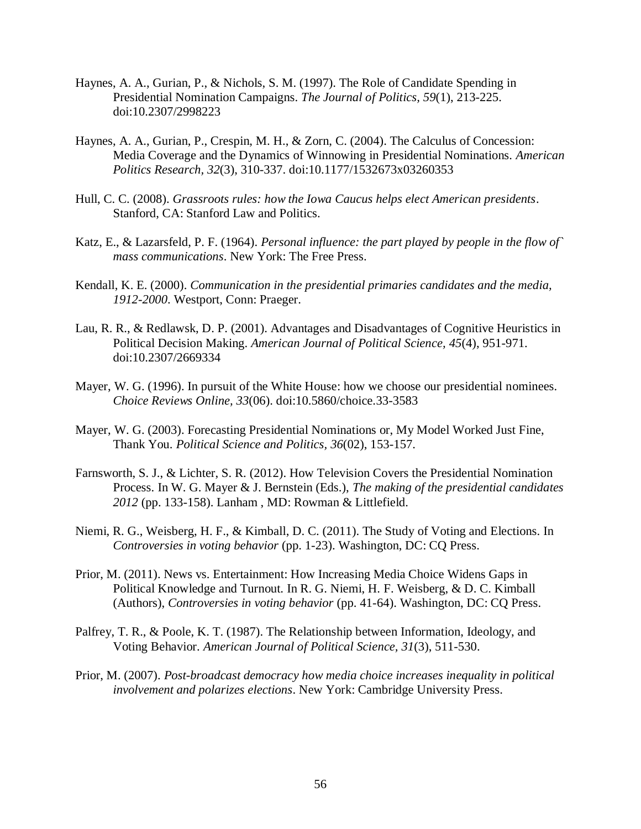- Haynes, A. A., Gurian, P., & Nichols, S. M. (1997). The Role of Candidate Spending in Presidential Nomination Campaigns. *The Journal of Politics, 59*(1), 213-225. doi:10.2307/2998223
- Haynes, A. A., Gurian, P., Crespin, M. H., & Zorn, C. (2004). The Calculus of Concession: Media Coverage and the Dynamics of Winnowing in Presidential Nominations. *American Politics Research, 32*(3), 310-337. doi:10.1177/1532673x03260353
- Hull, C. C. (2008). *Grassroots rules: how the Iowa Caucus helps elect American presidents*. Stanford, CA: Stanford Law and Politics.
- Katz, E., & Lazarsfeld, P. F. (1964). *Personal influence: the part played by people in the flow of` mass communications*. New York: The Free Press.
- Kendall, K. E. (2000). *Communication in the presidential primaries candidates and the media, 1912-2000*. Westport, Conn: Praeger.
- Lau, R. R., & Redlawsk, D. P. (2001). Advantages and Disadvantages of Cognitive Heuristics in Political Decision Making. *American Journal of Political Science, 45*(4), 951-971. doi:10.2307/2669334
- Mayer, W. G. (1996). In pursuit of the White House: how we choose our presidential nominees. *Choice Reviews Online, 33*(06). doi:10.5860/choice.33-3583
- Mayer, W. G. (2003). Forecasting Presidential Nominations or, My Model Worked Just Fine, Thank You. *Political Science and Politics, 36*(02), 153-157.
- Farnsworth, S. J., & Lichter, S. R. (2012). How Television Covers the Presidential Nomination Process. In W. G. Mayer & J. Bernstein (Eds.), *The making of the presidential candidates 2012* (pp. 133-158). Lanham , MD: Rowman & Littlefield.
- Niemi, R. G., Weisberg, H. F., & Kimball, D. C. (2011). The Study of Voting and Elections. In *Controversies in voting behavior* (pp. 1-23). Washington, DC: CQ Press.
- Prior, M. (2011). News vs. Entertainment: How Increasing Media Choice Widens Gaps in Political Knowledge and Turnout. In R. G. Niemi, H. F. Weisberg, & D. C. Kimball (Authors), *Controversies in voting behavior* (pp. 41-64). Washington, DC: CQ Press.
- Palfrey, T. R., & Poole, K. T. (1987). The Relationship between Information, Ideology, and Voting Behavior. *American Journal of Political Science, 31*(3), 511-530.
- Prior, M. (2007). *Post-broadcast democracy how media choice increases inequality in political involvement and polarizes elections*. New York: Cambridge University Press.